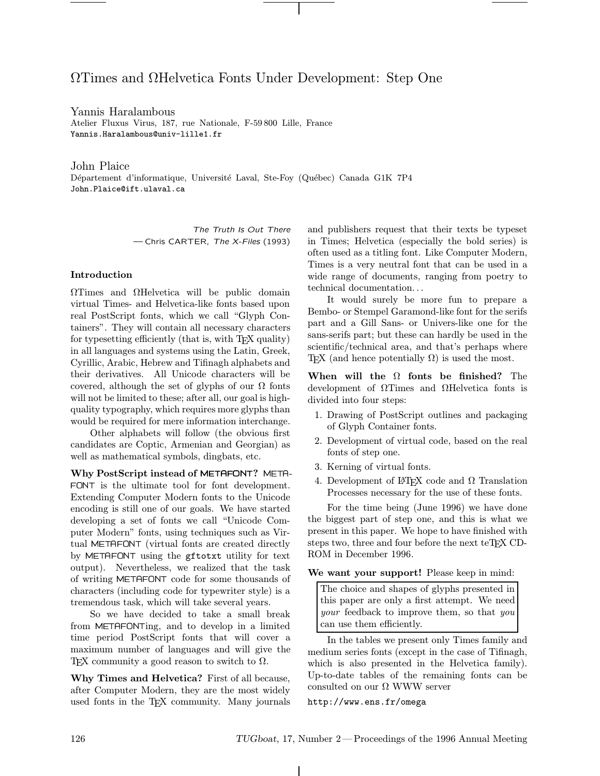# ΩTimes and ΩHelvetica Fonts Under Development: Step One

Yannis Haralambous Atelier Fluxus Virus, 187, rue Nationale, F-59 800 Lille, France Yannis.Haralambous@univ-lille1.fr

John Plaice Département d'informatique, Université Laval, Ste-Foy (Québec) Canada G1K 7P4 John.Plaice@ift.ulaval.ca

> The Truth Is Out There — Chris CARTER, The X-Files (1993)

# Introduction

ΩTimes and ΩHelvetica will be public domain virtual Times- and Helvetica-like fonts based upon real PostScript fonts, which we call "Glyph Containers". They will contain all necessary characters for typesetting efficiently (that is, with T<sub>E</sub>X quality) in all languages and systems using the Latin, Greek, Cyrillic, Arabic, Hebrew and Tifinagh alphabets and their derivatives. All Unicode characters will be covered, although the set of glyphs of our  $\Omega$  fonts will not be limited to these; after all, our goal is highquality typography, which requires more glyphs than would be required for mere information interchange.

Other alphabets will follow (the obvious first candidates are Coptic, Armenian and Georgian) as well as mathematical symbols, dingbats, etc.

Why PostScript instead of METAFONT? META-FONT is the ultimate tool for font development. Extending Computer Modern fonts to the Unicode encoding is still one of our goals. We have started developing a set of fonts we call "Unicode Computer Modern" fonts, using techniques such as Virtual METAFONT (virtual fonts are created directly by METAFONT using the gftotxt utility for text output). Nevertheless, we realized that the task of writing METAFONT code for some thousands of characters (including code for typewriter style) is a tremendous task, which will take several years.

So we have decided to take a small break from METAFONTing, and to develop in a limited time period PostScript fonts that will cover a maximum number of languages and will give the TEX community a good reason to switch to  $\Omega$ .

Why Times and Helvetica? First of all because, after Computer Modern, they are the most widely used fonts in the T<sub>EX</sub> community. Many journals and publishers request that their texts be typeset in Times; Helvetica (especially the bold series) is often used as a titling font. Like Computer Modern, Times is a very neutral font that can be used in a wide range of documents, ranging from poetry to technical documentation. . .

It would surely be more fun to prepare a Bembo- or Stempel Garamond-like font for the serifs part and a Gill Sans- or Univers-like one for the sans-serifs part; but these can hardly be used in the scientific/technical area, and that's perhaps where TEX (and hence potentially  $\Omega$ ) is used the most.

When will the  $\Omega$  fonts be finished? The development of ΩTimes and ΩHelvetica fonts is divided into four steps:

- 1. Drawing of PostScript outlines and packaging of Glyph Container fonts.
- 2. Development of virtual code, based on the real fonts of step one.
- 3. Kerning of virtual fonts.
- 4. Development of L<sup>AT</sup>FX code and  $\Omega$  Translation Processes necessary for the use of these fonts.

For the time being (June 1996) we have done the biggest part of step one, and this is what we present in this paper. We hope to have finished with steps two, three and four before the next teTFX CD-ROM in December 1996.

We want your support! Please keep in mind:

The choice and shapes of glyphs presented in this paper are only a first attempt. We need your feedback to improve them, so that you can use them efficiently.

In the tables we present only Times family and medium series fonts (except in the case of Tifinagh, which is also presented in the Helvetica family). Up-to-date tables of the remaining fonts can be consulted on our Ω WWW server

http://www.ens.fr/omega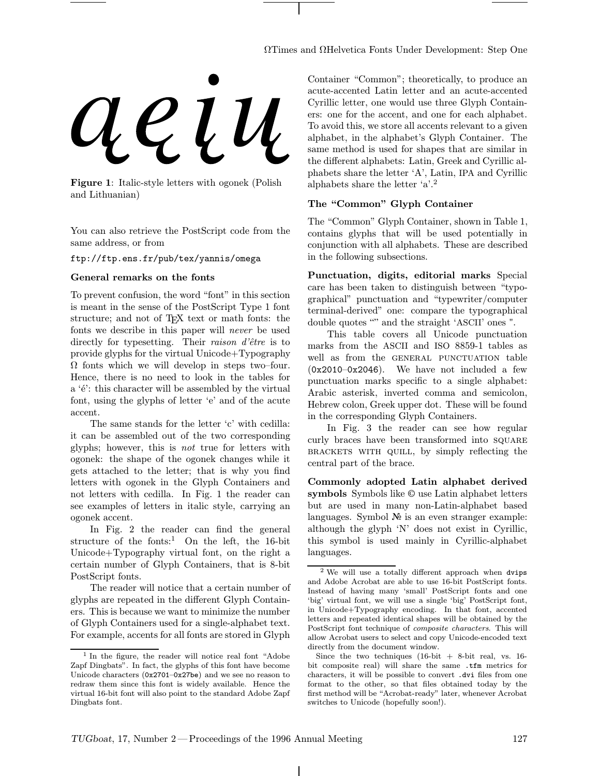Q e i u

Figure 1: Italic-style letters with ogonek (Polish and Lithuanian)

You can also retrieve the PostScript code from the same address, or from

# ftp://ftp.ens.fr/pub/tex/yannis/omega

# General remarks on the fonts

To prevent confusion, the word "font" in this section is meant in the sense of the PostScript Type 1 font structure; and not of TEX text or math fonts: the fonts we describe in this paper will never be used directly for typesetting. Their *raison*  $d$ 'être is to provide glyphs for the virtual Unicode+Typography  $\Omega$  fonts which we will develop in steps two–four. Hence, there is no need to look in the tables for a 'é': this character will be assembled by the virtual font, using the glyphs of letter 'e' and of the acute accent.

The same stands for the letter 'c' with cedilla: it can be assembled out of the two corresponding glyphs; however, this is not true for letters with ogonek: the shape of the ogonek changes while it gets attached to the letter; that is why you find letters with ogonek in the Glyph Containers and not letters with cedilla. In Fig. 1 the reader can see examples of letters in italic style, carrying an ogonek accent.

In Fig. 2 the reader can find the general structure of the fonts: $\frac{1}{1}$  On the left, the 16-bit Unicode+Typography virtual font, on the right a certain number of Glyph Containers, that is 8-bit PostScript fonts.

The reader will notice that a certain number of glyphs are repeated in the different Glyph Containers. This is because we want to minimize the number of Glyph Containers used for a single-alphabet text. For example, accents for all fonts are stored in Glyph Container "Common"; theoretically, to produce an acute-accented Latin letter and an acute-accented Cyrillic letter, one would use three Glyph Containers: one for the accent, and one for each alphabet. To avoid this, we store all accents relevant to a given alphabet, in the alphabet's Glyph Container. The same method is used for shapes that are similar in the different alphabets: Latin, Greek and Cyrillic alphabets share the letter 'A', Latin, IPA and Cyrillic alphabets share the letter 'a'.<sup>2</sup>

# The "Common" Glyph Container

The "Common" Glyph Container, shown in Table 1, contains glyphs that will be used potentially in conjunction with all alphabets. These are described in the following subsections.

Punctuation, digits, editorial marks Special care has been taken to distinguish between "typographical" punctuation and "typewriter/computer terminal-derived" one: compare the typographical double quotes "" and the straight 'ASCII' ones ".

This table covers all Unicode punctuation marks from the ASCII and ISO 8859-1 tables as well as from the GENERAL PUNCTUATION table  $(0x2010-0x2046)$ . We have not included a few punctuation marks specific to a single alphabet: Arabic asterisk, inverted comma and semicolon, Hebrew colon, Greek upper dot. These will be found in the corresponding Glyph Containers.

In Fig. 3 the reader can see how regular curly braces have been transformed into square brackets with quill, by simply reflecting the central part of the brace.

Commonly adopted Latin alphabet derived symbols Symbols like  $\odot$  use Latin alphabet letters but are used in many non-Latin-alphabet based languages. Symbol  $\mathbb{N}^2$  is an even stranger example: although the glyph 'N' does not exist in Cyrillic, this symbol is used mainly in Cyrillic-alphabet languages.

<sup>1</sup> In the figure, the reader will notice real font "Adobe Zapf Dingbats". In fact, the glyphs of this font have become Unicode characters (0x2701–0x27be) and we see no reason to redraw them since this font is widely available. Hence the virtual 16-bit font will also point to the standard Adobe Zapf Dingbats font.

<sup>2</sup> We will use a totally different approach when dvips and Adobe Acrobat are able to use 16-bit PostScript fonts. Instead of having many 'small' PostScript fonts and one 'big' virtual font, we will use a single 'big' PostScript font, in Unicode+Typography encoding. In that font, accented letters and repeated identical shapes will be obtained by the PostScript font technique of composite characters. This will allow Acrobat users to select and copy Unicode-encoded text directly from the document window.

Since the two techniques  $(16-bit + 8-bit real, vs. 16$ bit composite real) will share the same .tfm metrics for characters, it will be possible to convert .dvi files from one format to the other, so that files obtained today by the first method will be "Acrobat-ready" later, whenever Acrobat switches to Unicode (hopefully soon!).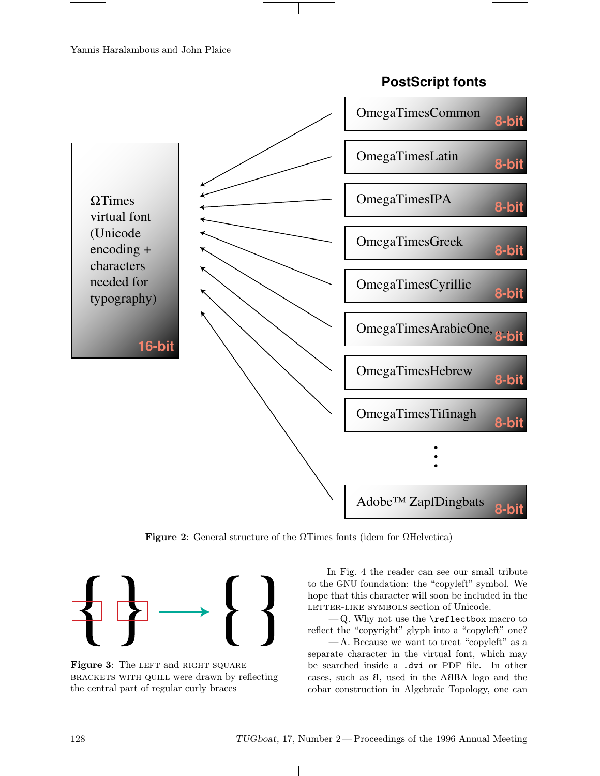

Figure 2: General structure of the  $\Omega$ Times fonts (idem for  $\Omega$ Helvetica)



Figure 3: The LEFT and RIGHT SQUARE brackets with quill were drawn by reflecting the central part of regular curly braces

In Fig. 4 the reader can see our small tribute to the GNU foundation: the "copyleft" symbol. We hope that this character will soon be included in the LETTER-LIKE SYMBOLS section of Unicode.

— Q. Why not use the \reflectbox macro to reflect the "copyright" glyph into a "copyleft" one?

— A. Because we want to treat "copyleft" as a separate character in the virtual font, which may be searched inside a .dvi or PDF file. In other cases, such as  $\mathbf{d}$ , used in the A BA logo and the cobar construction in Algebraic Topology, one can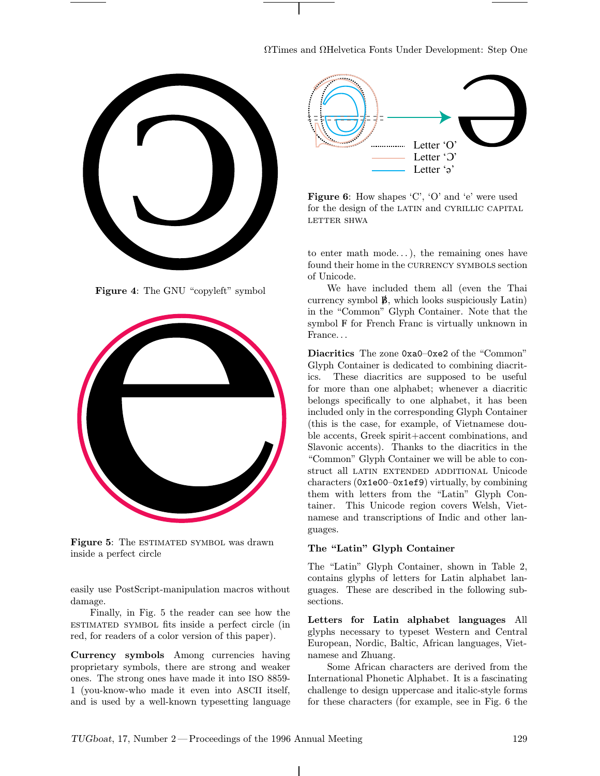# ΩTimes and ΩHelvetica Fonts Under Development: Step One



Figure 4: The GNU "copyleft" symbol



Figure 5: The ESTIMATED SYMBOL was drawn inside a perfect circle

easily use PostScript-manipulation macros without damage.

Finally, in Fig. 5 the reader can see how the estimated symbol fits inside a perfect circle (in red, for readers of a color version of this paper).

Currency symbols Among currencies having proprietary symbols, there are strong and weaker ones. The strong ones have made it into ISO 8859- 1 (you-know-who made it even into ASCII itself, and is used by a well-known typesetting language



Figure 6: How shapes 'C', 'O' and 'e' were used for the design of the LATIN and CYRILLIC CAPITAL letter shwa

to enter math mode...), the remaining ones have found their home in the CURRENCY SYMBOLS section of Unicode.

We have included them all (even the Thai currency symbol  $\sharp$ , which looks suspiciously Latin) in the "Common" Glyph Container. Note that the symbol F for French Franc is virtually unknown in France. . .

Diacritics The zone 0xa0–0xe2 of the "Common" Glyph Container is dedicated to combining diacritics. These diacritics are supposed to be useful for more than one alphabet; whenever a diacritic belongs specifically to one alphabet, it has been included only in the corresponding Glyph Container (this is the case, for example, of Vietnamese double accents, Greek spirit+accent combinations, and Slavonic accents). Thanks to the diacritics in the "Common" Glyph Container we will be able to construct all latin extended additional Unicode characters (0x1e00–0x1ef9) virtually, by combining them with letters from the "Latin" Glyph Container. This Unicode region covers Welsh, Vietnamese and transcriptions of Indic and other languages.

# The "Latin" Glyph Container

The "Latin" Glyph Container, shown in Table 2, contains glyphs of letters for Latin alphabet languages. These are described in the following subsections.

Letters for Latin alphabet languages All glyphs necessary to typeset Western and Central European, Nordic, Baltic, African languages, Vietnamese and Zhuang.

Some African characters are derived from the International Phonetic Alphabet. It is a fascinating challenge to design uppercase and italic-style forms for these characters (for example, see in Fig. 6 the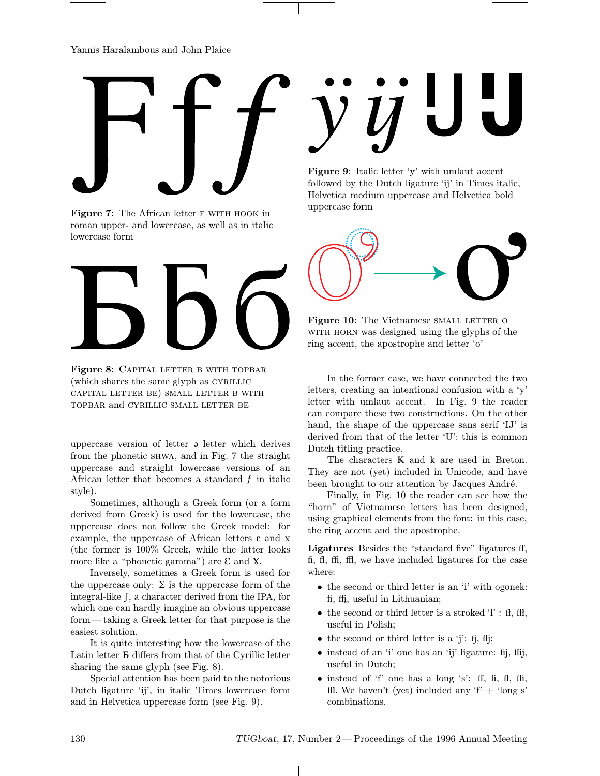

**Figure 7:** The African letter F WITH HOOK in roman upper- and lowercase, as well as in italic lowercase form



Figure 8: CAPITAL LETTER B WITH TOPBAR (which shares the same glyph as CYRILLIC capital letter be) small letter b with topbar and cyrillic small letter be

uppercase version of letter  $\phi$  letter which derives from the phonetic shwa, and in Fig. 7 the straight uppercase and straight lowercase versions of an African letter that becomes a standard  $f$  in italic style).

Sometimes, although a Greek form (or a form derived from Greek) is used for the lowercase, the uppercase does not follow the Greek model: for example, the uppercase of African letters  $\varepsilon$  and  $\bar{x}$ (the former is 100% Greek, while the latter looks more like a "phonetic gamma") are  $\mathcal E$  and  $\mathcal Y$ .

Inversely, sometimes a Greek form is used for the uppercase only:  $\Sigma$  is the uppercase form of the integral-like  $\int$ , a character derived from the IPA, for which one can hardly imagine an obvious uppercase form— taking a Greek letter for that purpose is the easiest solution.

It is quite interesting how the lowercase of the Latin letter Å differs from that of the Cyrillic letter sharing the same glyph (see Fig. 8).

Special attention has been paid to the notorious Dutch ligature 'ij', in italic Times lowercase form and in Helvetica uppercase form (see Fig. 9).

Figure 9: Italic letter 'y' with umlaut accent followed by the Dutch ligature 'ij' in Times italic, Helvetica medium uppercase and Helvetica bold uppercase form



Figure 10: The Vietnamese SMALL LETTER O with horn was designed using the glyphs of the ring accent, the apostrophe and letter 'o'

In the former case, we have connected the two letters, creating an intentional confusion with a 'y' letter with umlaut accent. In Fig. 9 the reader can compare these two constructions. On the other hand, the shape of the uppercase sans serif 'IJ' is derived from that of the letter 'U': this is common Dutch titling practice.

The characters  $K$  and  $k$  are used in Breton. They are not (yet) included in Unicode, and have been brought to our attention by Jacques André.

Finally, in Fig. 10 the reader can see how the "horn" of Vietnamese letters has been designed, using graphical elements from the font: in this case, the ring accent and the apostrophe.

Ligatures Besides the "standard five" ligatures ff,  $f$ ,  $f$ ,  $f$ ,  $f$ ,  $f$ ,  $f$ , we have included ligatures for the case where:

- the second or third letter is an 'i' with ogonek: fi, ffi, useful in Lithuanian;
- the second or third letter is a stroked  $T$ : ft, fft, useful in Polish;
- the second or third letter is a 'j':  $f_j, ff_j;$
- $\bullet$  instead of an 'i' one has an 'ij' ligature: fij, ffij, useful in Dutch;
- $\bullet$  instead of 'f' one has a long 's':  $\mathbf{f}, \mathbf{f}, \mathbf{f}, \mathbf{f}$  $\text{III. We haven't (yet) included any 'f' + 'long s' }$ combinations.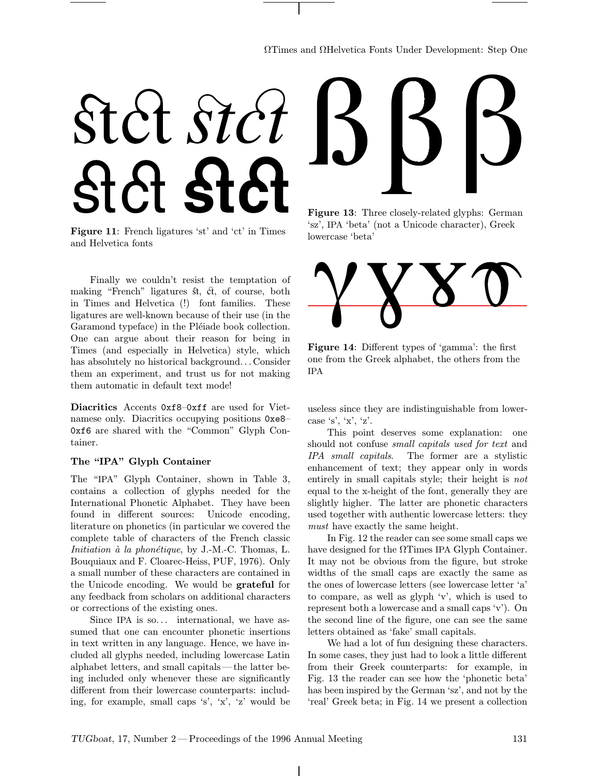# $\Gamma$  ST

Figure 11: French ligatures 'st' and 'ct' in Times and Helvetica fonts

Finally we couldn't resist the temptation of making "French" ligatures  $\mathfrak{R}$ ,  $\mathfrak{C}$ , of course, both in Times and Helvetica (!) font families. These ligatures are well-known because of their use (in the Garamond typeface) in the Pléiade book collection. One can argue about their reason for being in Times (and especially in Helvetica) style, which has absolutely no historical background...Consider them an experiment, and trust us for not making them automatic in default text mode!

Diacritics Accents 0xf8–0xff are used for Vietnamese only. Diacritics occupying positions 0xe8– 0xf6 are shared with the "Common" Glyph Container.

# The "IPA" Glyph Container

The "IPA" Glyph Container, shown in Table 3, contains a collection of glyphs needed for the International Phonetic Alphabet. They have been found in different sources: Unicode encoding, literature on phonetics (in particular we covered the complete table of characters of the French classic Initiation à la phonétique, by J.-M.-C. Thomas, L. Bouquiaux and F. Cloarec-Heiss, PUF, 1976). Only a small number of these characters are contained in the Unicode encoding. We would be grateful for any feedback from scholars on additional characters or corrections of the existing ones.

Since IPA is so... international, we have assumed that one can encounter phonetic insertions in text written in any language. Hence, we have included all glyphs needed, including lowercase Latin alphabet letters, and small capitals— the latter being included only whenever these are significantly different from their lowercase counterparts: including, for example, small caps 's', 'x', 'z' would be

Figure 13: Three closely-related glyphs: German 'sz', IPA 'beta' (not a Unicode character), Greek lowercase 'beta'



Figure 14: Different types of 'gamma': the first one from the Greek alphabet, the others from the IPA

useless since they are indistinguishable from lowercase 's', 'x', 'z'.

This point deserves some explanation: one should not confuse small capitals used for text and IPA small capitals. The former are a stylistic enhancement of text; they appear only in words entirely in small capitals style; their height is not equal to the x-height of the font, generally they are slightly higher. The latter are phonetic characters used together with authentic lowercase letters: they must have exactly the same height.

In Fig. 12 the reader can see some small caps we have designed for the ΩTimes IPA Glyph Container. It may not be obvious from the figure, but stroke widths of the small caps are exactly the same as the ones of lowercase letters (see lowercase letter 'a' to compare, as well as glyph 'v', which is used to represent both a lowercase and a small caps 'v'). On the second line of the figure, one can see the same letters obtained as 'fake' small capitals.

We had a lot of fun designing these characters. In some cases, they just had to look a little different from their Greek counterparts: for example, in Fig. 13 the reader can see how the 'phonetic beta' has been inspired by the German 'sz', and not by the 'real' Greek beta; in Fig. 14 we present a collection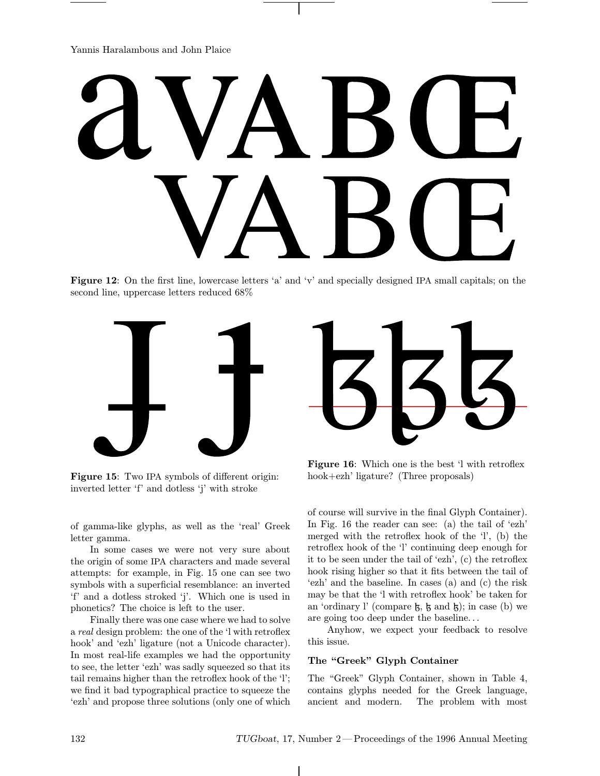Figure 12: On the first line, lowercase letters 'a' and 'v' and specially designed IPA small capitals; on the second line, uppercase letters reduced 68%



Figure 15: Two IPA symbols of different origin: inverted letter 'f' and dotless 'j' with stroke

of gamma-like glyphs, as well as the 'real' Greek letter gamma.

In some cases we were not very sure about the origin of some IPA characters and made several attempts: for example, in Fig. 15 one can see two symbols with a superficial resemblance: an inverted 'f' and a dotless stroked 'j'. Which one is used in phonetics? The choice is left to the user.

Finally there was one case where we had to solve a real design problem: the one of the 'l with retroflex hook' and 'ezh' ligature (not a Unicode character). In most real-life examples we had the opportunity to see, the letter 'ezh' was sadly squeezed so that its tail remains higher than the retroflex hook of the 'l'; we find it bad typographical practice to squeeze the 'ezh' and propose three solutions (only one of which



Figure 16: Which one is the best 'l with retroflex hook+ezh' ligature? (Three proposals)

of course will survive in the final Glyph Container). In Fig. 16 the reader can see: (a) the tail of 'ezh' merged with the retroflex hook of the 'l', (b) the retroflex hook of the 'l' continuing deep enough for it to be seen under the tail of 'ezh', (c) the retroflex hook rising higher so that it fits between the tail of 'ezh' and the baseline. In cases (a) and (c) the risk may be that the 'l with retroflex hook' be taken for an 'ordinary l' (compare  $\xi$ ,  $\xi$  and  $\xi$ ); in case (b) we are going too deep under the baseline. . .

Anyhow, we expect your feedback to resolve this issue.

# The "Greek" Glyph Container

The "Greek" Glyph Container, shown in Table 4, contains glyphs needed for the Greek language, ancient and modern. The problem with most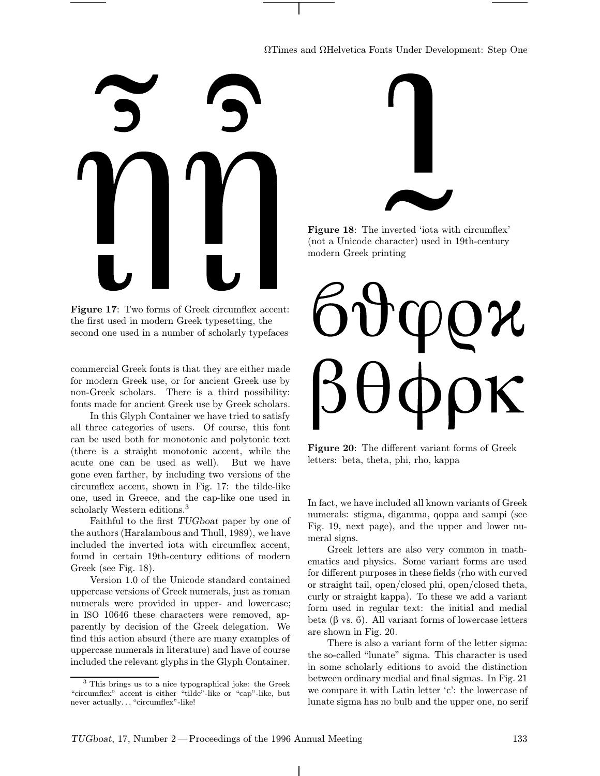# ΩTimes and ΩHelvetica Fonts Under Development: Step One



Figure 17: Two forms of Greek circumflex accent: the first used in modern Greek typesetting, the second one used in a number of scholarly typefaces

commercial Greek fonts is that they are either made for modern Greek use, or for ancient Greek use by non-Greek scholars. There is a third possibility: fonts made for ancient Greek use by Greek scholars.

In this Glyph Container we have tried to satisfy all three categories of users. Of course, this font can be used both for monotonic and polytonic text (there is a straight monotonic accent, while the acute one can be used as well). But we have gone even farther, by including two versions of the circumflex accent, shown in Fig. 17: the tilde-like one, used in Greece, and the cap-like one used in scholarly Western editions.<sup>3</sup>

Faithful to the first TUGboat paper by one of the authors (Haralambous and Thull, 1989), we have included the inverted iota with circumflex accent, found in certain 19th-century editions of modern Greek (see Fig. 18).

Version 1.0 of the Unicode standard contained uppercase versions of Greek numerals, just as roman numerals were provided in upper- and lowercase; in ISO 10646 these characters were removed, apparently by decision of the Greek delegation. We find this action absurd (there are many examples of uppercase numerals in literature) and have of course included the relevant glyphs in the Glyph Container.



Figure 18: The inverted 'iota with circumflex' (not a Unicode character) used in 19th-century modern Greek printing

Figure 20: The different variant forms of Greek letters: beta, theta, phi, rho, kappa

In fact, we have included all known variants of Greek numerals: stigma, digamma, qoppa and sampi (see Fig. 19, next page), and the upper and lower numeral signs.

Greek letters are also very common in mathematics and physics. Some variant forms are used for different purposes in these fields (rho with curved or straight tail, open/closed phi, open/closed theta, curly or straight kappa). To these we add a variant form used in regular text: the initial and medial beta  $(\beta \text{ vs. } 6)$ . All variant forms of lowercase letters are shown in Fig. 20.

There is also a variant form of the letter sigma: the so-called "lunate" sigma. This character is used in some scholarly editions to avoid the distinction between ordinary medial and final sigmas. In Fig. 21 we compare it with Latin letter 'c': the lowercase of lunate sigma has no bulb and the upper one, no serif

<sup>3</sup> This brings us to a nice typographical joke: the Greek "circumflex" accent is either "tilde"-like or "cap"-like, but never actually. . . "circumflex"-like!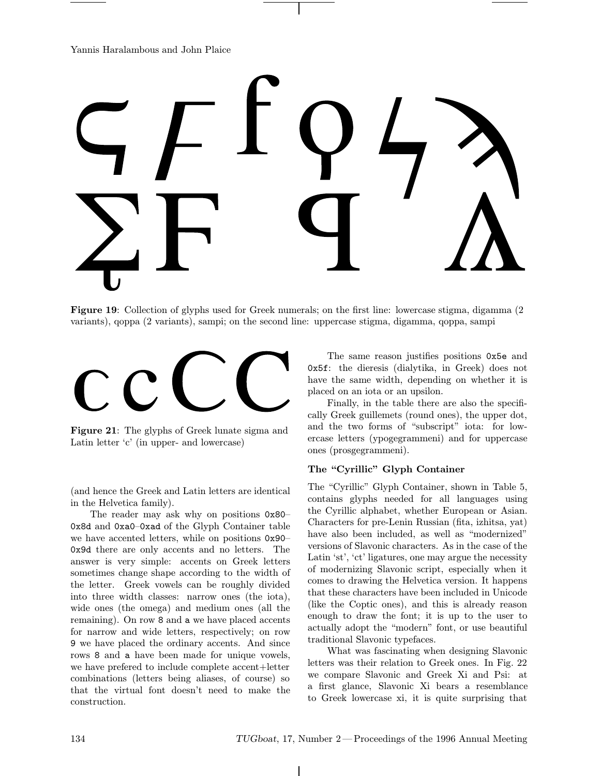

Figure 19: Collection of glyphs used for Greek numerals; on the first line: lowercase stigma, digamma (2 variants), qoppa (2 variants), sampi; on the second line: uppercase stigma, digamma, qoppa, sampi



Figure 21: The glyphs of Greek lunate sigma and Latin letter 'c' (in upper- and lowercase)

(and hence the Greek and Latin letters are identical in the Helvetica family).

The reader may ask why on positions 0x80– 0x8d and 0xa0–0xad of the Glyph Container table we have accented letters, while on positions 0x90– 0x9d there are only accents and no letters. The answer is very simple: accents on Greek letters sometimes change shape according to the width of the letter. Greek vowels can be roughly divided into three width classes: narrow ones (the iota), wide ones (the omega) and medium ones (all the remaining). On row 8 and a we have placed accents for narrow and wide letters, respectively; on row 9 we have placed the ordinary accents. And since rows 8 and a have been made for unique vowels, we have prefered to include complete accent+letter combinations (letters being aliases, of course) so that the virtual font doesn't need to make the construction.

The same reason justifies positions 0x5e and 0x5f: the dieresis (dialytika, in Greek) does not have the same width, depending on whether it is placed on an iota or an upsilon.

Finally, in the table there are also the specifically Greek guillemets (round ones), the upper dot, and the two forms of "subscript" iota: for lowercase letters (ypogegrammeni) and for uppercase ones (prosgegrammeni).

# The "Cyrillic" Glyph Container

The "Cyrillic" Glyph Container, shown in Table 5, contains glyphs needed for all languages using the Cyrillic alphabet, whether European or Asian. Characters for pre-Lenin Russian (fita, izhitsa, yat) have also been included, as well as "modernized" versions of Slavonic characters. As in the case of the Latin 'st', 'ct' ligatures, one may argue the necessity of modernizing Slavonic script, especially when it comes to drawing the Helvetica version. It happens that these characters have been included in Unicode (like the Coptic ones), and this is already reason enough to draw the font; it is up to the user to actually adopt the "modern" font, or use beautiful traditional Slavonic typefaces.

What was fascinating when designing Slavonic letters was their relation to Greek ones. In Fig. 22 we compare Slavonic and Greek Xi and Psi: at a first glance, Slavonic Xi bears a resemblance to Greek lowercase xi, it is quite surprising that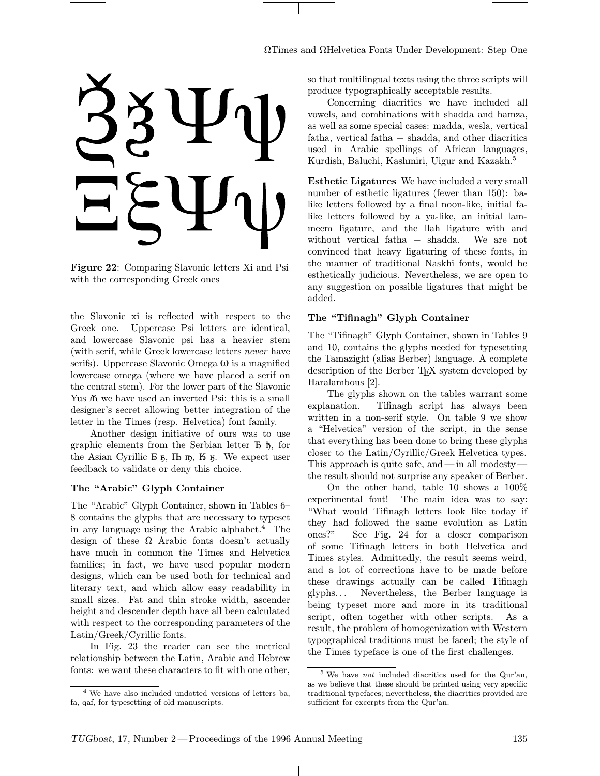

Figure 22: Comparing Slavonic letters Xi and Psi with the corresponding Greek ones

the Slavonic xi is reflected with respect to the Greek one. Uppercase Psi letters are identical, and lowercase Slavonic psi has a heavier stem (with serif, while Greek lowercase letters never have serifs). Uppercase Slavonic Omega  $\omega$  is a magnified lowercase omega (where we have placed a serif on the central stem). For the lower part of the Slavonic Yus  $\tilde{M}$  we have used an inverted Psi: this is a small designer's secret allowing better integration of the letter in the Times (resp. Helvetica) font family.

Another design initiative of ours was to use graphic elements from the Serbian letter  $\bar{b}$ , for the Asian Cyrillic  $\overline{b}$   $\overline{b}$ ,  $\overline{b}$ ,  $\overline{b}$ ,  $\overline{b}$ ,  $\overline{b}$ ,  $\overline{b}$ ,  $\overline{b}$ ,  $\overline{b}$ ,  $\overline{c}$  we expect user feedback to validate or deny this choice.

# The "Arabic" Glyph Container

The "Arabic" Glyph Container, shown in Tables 6– 8 contains the glyphs that are necessary to typeset in any language using the Arabic alphabet.<sup>4</sup> The design of these  $\Omega$  Arabic fonts doesn't actually have much in common the Times and Helvetica families; in fact, we have used popular modern designs, which can be used both for technical and literary text, and which allow easy readability in small sizes. Fat and thin stroke width, ascender height and descender depth have all been calculated with respect to the corresponding parameters of the Latin/Greek/Cyrillic fonts.

In Fig. 23 the reader can see the metrical relationship between the Latin, Arabic and Hebrew fonts: we want these characters to fit with one other,

so that multilingual texts using the three scripts will produce typographically acceptable results.

Concerning diacritics we have included all vowels, and combinations with shadda and hamza, as well as some special cases: madda, wesla, vertical fatha, vertical fatha + shadda, and other diacritics used in Arabic spellings of African languages, Kurdish, Baluchi, Kashmiri, Uigur and Kazakh.<sup>5</sup>

Esthetic Ligatures We have included a very small number of esthetic ligatures (fewer than 150): balike letters followed by a final noon-like, initial falike letters followed by a ya-like, an initial lammeem ligature, and the llah ligature with and without vertical fatha + shadda. We are not convinced that heavy ligaturing of these fonts, in the manner of traditional Naskhi fonts, would be esthetically judicious. Nevertheless, we are open to any suggestion on possible ligatures that might be added.

# The "Tifinagh" Glyph Container

The "Tifinagh" Glyph Container, shown in Tables 9 and 10, contains the glyphs needed for typesetting the Tamazight (alias Berber) language. A complete description of the Berber TEX system developed by Haralambous [2].

The glyphs shown on the tables warrant some explanation. Tifinagh script has always been written in a non-serif style. On table 9 we show a "Helvetica" version of the script, in the sense that everything has been done to bring these glyphs closer to the Latin/Cyrillic/Greek Helvetica types. This approach is quite safe, and—in all modesty the result should not surprise any speaker of Berber.

On the other hand, table 10 shows a 100% experimental font! The main idea was to say: "What would Tifinagh letters look like today if they had followed the same evolution as Latin ones?" See Fig. 24 for a closer comparison of some Tifinagh letters in both Helvetica and Times styles. Admittedly, the result seems weird, and a lot of corrections have to be made before these drawings actually can be called Tifinagh glyphs. . . Nevertheless, the Berber language is being typeset more and more in its traditional script, often together with other scripts. As a result, the problem of homogenization with Western typographical traditions must be faced; the style of the Times typeface is one of the first challenges.

<sup>4</sup> We have also included undotted versions of letters ba, fa, qaf, for typesetting of old manuscripts.

 $5$  We have not included diacritics used for the Qur'an, as we believe that these should be printed using very specific traditional typefaces; nevertheless, the diacritics provided are sufficient for excerpts from the Qur'an.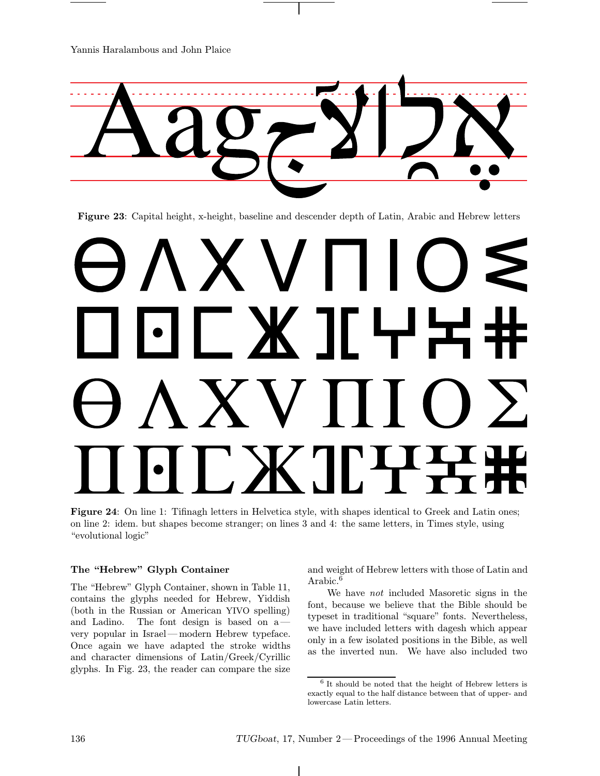

Figure 23: Capital height, x-height, baseline and descender depth of Latin, Arabic and Hebrew letters

Figure 24: On line 1: Tifinagh letters in Helvetica style, with shapes identical to Greek and Latin ones; on line 2: idem. but shapes become stranger; on lines 3 and 4: the same letters, in Times style, using "evolutional logic"

# The "Hebrew" Glyph Container

The "Hebrew" Glyph Container, shown in Table 11, contains the glyphs needed for Hebrew, Yiddish (both in the Russian or American YIVO spelling) and Ladino. The font design is based on a very popular in Israel— modern Hebrew typeface. Once again we have adapted the stroke widths and character dimensions of Latin/Greek/Cyrillic glyphs. In Fig. 23, the reader can compare the size

and weight of Hebrew letters with those of Latin and Arabic.<sup>6</sup>

We have not included Masoretic signs in the font, because we believe that the Bible should be typeset in traditional "square" fonts. Nevertheless, we have included letters with dagesh which appear only in a few isolated positions in the Bible, as well as the inverted nun. We have also included two

<sup>6</sup> It should be noted that the height of Hebrew letters is exactly equal to the half distance between that of upper- and lowercase Latin letters.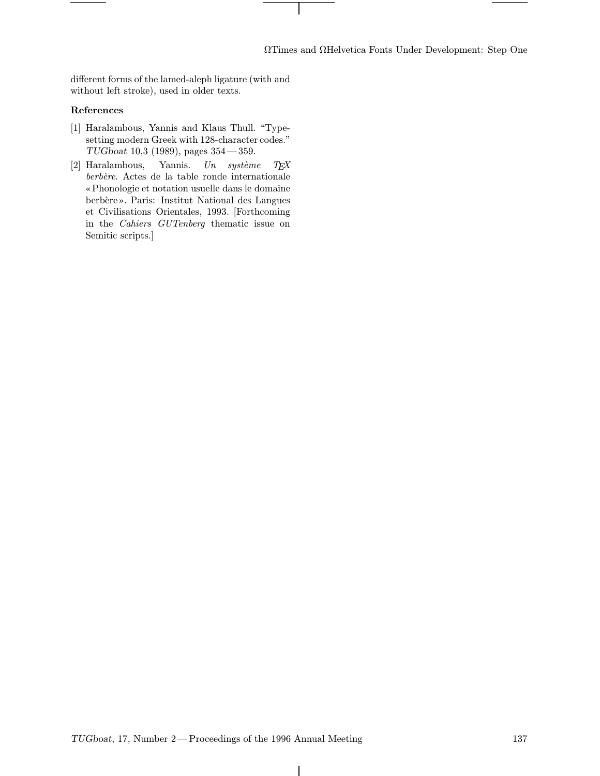different forms of the lamed-aleph ligature (with and without left stroke), used in older texts.

# References

- [1] Haralambous, Yannis and Klaus Thull. "Typesetting modern Greek with 128-character codes." TUGboat 10,3 (1989), pages 354— 359.
- [2] Haralambous, Yannis.  $Un$  système TEX  $berb\`ere.$  Actes de la table ronde internationale pPhonologie et notation usuelle dans le domaine berbère». Paris: Institut National des Langues et Civilisations Orientales, 1993. [Forthcoming in the Cahiers GUTenberg thematic issue on Semitic scripts.]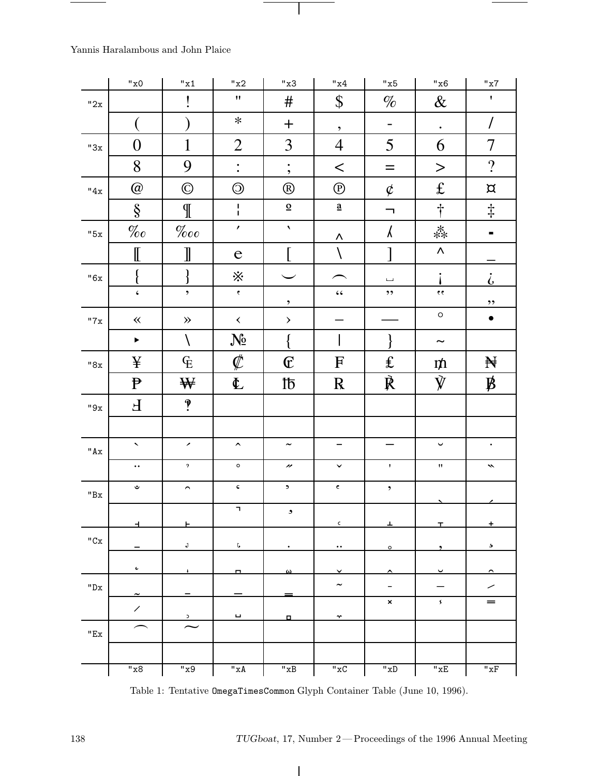$\overline{\phantom{a}}$ 

|                    | "x0                       | "x1                                        | "x2"                     | "x3"                                  | "x4                           | "x5                          | "x6                            | "x7                      |
|--------------------|---------------------------|--------------------------------------------|--------------------------|---------------------------------------|-------------------------------|------------------------------|--------------------------------|--------------------------|
| "2x                |                           | I                                          | $\pmb{\mathsf{H}}$       | #                                     | $\boldsymbol{\mathsf{S}}$     | $\%$                         | $\&$                           | $\pmb{\mathsf{I}}$       |
|                    |                           |                                            | $\ast$                   | $+$                                   | $\pmb{\mathfrak{y}}$          | $\qquad \qquad \blacksquare$ | $\bullet$                      | $\overline{1}$           |
| "3x                | $\boldsymbol{0}$          | $\mathbf{1}$                               | $\overline{2}$           | 3                                     | $\overline{4}$                | 5                            | 6                              | $\overline{7}$           |
|                    | 8                         | 9                                          | $\ddot{\cdot}$           | $\bullet$<br>$\overline{\phantom{a}}$ | $\,<$                         | $=$                          | $\rm{>}$                       | $\overline{\mathcal{L}}$ |
| "4x                | $\bm{\varpi}$             | $\odot$                                    | $\circledcirc$           | $^{\circledR}$                        | $^{\circledR}$                | $\phi$                       | $\pounds$                      | $\alpha$                 |
|                    | $\S$                      | $\mathbb{I}$                               | ł                        | $\overline{\mathbf{o}}$               | $\underline{\mathbf{a}}$      | ┑                            | $\dagger$                      | $\ddagger$               |
| "5x                | $\%o$                     | $\%$ oo                                    | $\mathbf{r}$             | $\bar{\mathbf{v}}$                    | Λ                             | $\lambda$                    | $**$                           | $\blacksquare$           |
|                    | $\llbracket$              | $\mathbb{I}$                               | e                        |                                       |                               | 1                            | Λ                              |                          |
| "6x                |                           | $\mathcal{S}$                              | ፠                        |                                       |                               | $\Box$                       |                                | $\dot{\iota}$            |
|                    | $\zeta$                   | $\overline{\phantom{a}}$                   | $\bar{\epsilon}$         | $\bullet$                             | $\mbox{\bf 6}$ $\mbox{\bf 6}$ | ,,                           | $\pmb{\epsilon}\pmb{\epsilon}$ | ,,                       |
| "7x                | $\prec\!\!\prec$          | $\gg$                                      | $\langle$                | $\!\!>$                               |                               |                              | $\circ$                        | $\bullet$                |
|                    | $\blacktriangleright$     | $\setminus$                                | $N_2$                    |                                       | I                             |                              | $\thicksim$                    |                          |
| "8x                | ¥                         | $\rm E$                                    | $\not\!\!\!D$            | $\mathbf{C}$                          | $\mathbf F$                   | $\mathbf f$                  | m                              | Ħ                        |
|                    |                           |                                            |                          |                                       |                               |                              |                                |                          |
|                    | $\mathbf{P}$              | ₩                                          | $\pmb{\Phi}$             | Ìδ                                    | $\bf R$                       | Ř                            | $\rm \vec{V}$                  | ₿                        |
| $"9x$              | $\boldsymbol{\mathrm{H}}$ | $\mathbf{P}$                               |                          |                                       |                               |                              |                                |                          |
|                    |                           |                                            |                          |                                       |                               |                              |                                |                          |
| $"Ax"$             | $\overline{\phantom{0}}$  | $\overline{\phantom{a}}$                   | $\hat{\phantom{a}}$      | $\tilde{\phantom{a}}$                 | $\overline{\phantom{0}}$      |                              | $\check{ }$                    | $\bullet$                |
|                    | $\ddotsc$                 | $\pmb{\gamma}$                             | $\circ$                  | $\overline{\phantom{a}}$              | $\checkmark$                  | $\pmb{\mathsf{v}}$           | $\mathbf{H}$                   | $\checkmark$             |
| $^{\sf n}{\rm Bx}$ | ڡ                         | $\widehat{\phantom{m}}$                    | $\boldsymbol{\varsigma}$ | $\mathbf{z}$                          | $\mathsf{c}$                  | $\bullet$                    |                                |                          |
|                    |                           |                                            | F                        | $\bullet$                             |                               |                              |                                |                          |
|                    |                           | Н                                          |                          |                                       | $\mathsf c$                   | T                            | T.                             | $\ddot{}$                |
| $"{\rm Cx}$        |                           | $\mathbf{J}% _{0}\left( \mathbf{M}\right)$ | $\mathsf{L}$             | $\bullet$                             | $\bullet$ $\bullet$           | $\circ$                      | $\overline{ }$                 | 5                        |
|                    | $\mathbf c$               |                                            | Ξ                        | ω                                     | v                             |                              | $\checkmark$                   | $\overline{\phantom{0}}$ |
| $"$ Dx $\:$        |                           |                                            |                          |                                       | $\tilde{\phantom{a}}$         |                              |                                | ╱                        |
|                    | $\overline{\phantom{a}}$  | $\mathsf{c}$                               | ц                        | д.                                    | $\boldsymbol{\gamma}$         | ×                            | $\mathbf S$                    | $=$                      |
| $^{\sf n}{\rm Ex}$ | ⌒                         |                                            |                          |                                       |                               |                              |                                |                          |
|                    | "x8                       | $\overline{\mathbf{u}}_x$ 9                | $^{\rm H}$ xA            | "xB                                   | "xC                           | $\overline{\mathbf{u}}$ xD   | "xE                            | "xF                      |

 $\overline{\phantom{0}}$ 

 $\top$ 

Table 1: Tentative OmegaTimesCommon Glyph Container Table (June 10, 1996).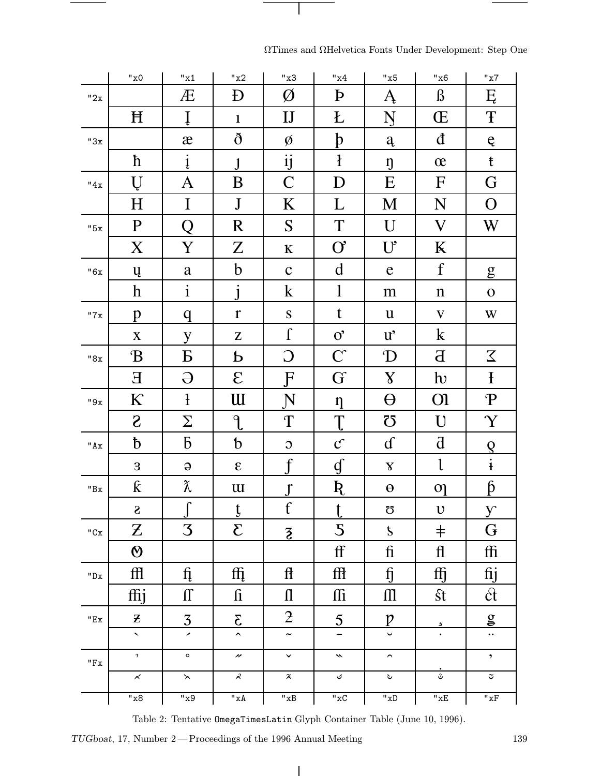|                    | "x0                       | "x1                                          | "x2"                                       | "x3                       | "x4"                      | "x5                     | "x6                      | "x7                         |
|--------------------|---------------------------|----------------------------------------------|--------------------------------------------|---------------------------|---------------------------|-------------------------|--------------------------|-----------------------------|
| "2x                |                           | Æ                                            | Đ                                          | Ø                         | Þ                         | Ą                       | $\beta$                  | Ę                           |
|                    | Ħ                         | Į                                            | $\mathbf{1}$                               | $\mathbf{I}$              | Ł                         | Ŋ                       | Œ                        | $\mathbf T$                 |
| "3x                |                           | æ                                            | $\eth$                                     | Ø                         | þ                         | ą                       | đ                        | ${\mathsf e}$               |
|                    | ħ                         | $\mathfrak{i}$                               | $\mathbf{1}$                               | ij                        | $\mathbf{1}$              | ŋ                       | œ                        | $\mathfrak{t}$              |
| "4x                | Ų                         | A                                            | B                                          | $\mathsf{C}$              | $\mathbf D$               | E                       | $\mathbf{F}$             | G                           |
|                    | H                         | $\mathbf I$                                  | ${\bf J}$                                  | K                         | L                         | M                       | N                        | $\mathbf O$                 |
| "5x                | $\mathbf P$               | Q                                            | R                                          | S                         | $\boldsymbol{\mathrm{T}}$ | U                       | $\mathbf V$              | W                           |
|                    | X                         | Y                                            | Z                                          | ${\bf K}$                 | $\rm O^{\rm o}$           | $U^{\prime}$            | K                        |                             |
| "6x                | ų                         | $\mathbf{a}$                                 | $\mathbf b$                                | $\mathbf{C}$              | d                         | e                       | f                        | $\mathbf{g}$                |
|                    | $\boldsymbol{h}$          | $\mathbf{i}$                                 | $\dot{j}$                                  | $\mathbf{k}$              | $\mathbf{l}$              | m                       | $\mathbf n$              | $\mathbf O$                 |
| "7x                | $\mathbf{p}$              | q                                            | $\mathbf r$                                | ${\bf S}$                 | $\mathbf t$               | $\mathbf{u}$            | $\bf V$                  | W                           |
|                    | $\mathbf X$               | y                                            | Z                                          | $\int$                    | $\mathbf{O}^{\bullet}$    | $u^{\bullet}$           | $\mathbf{k}$             |                             |
| $"8x$              | $\mathbf B$               | Б                                            | $\mathbf b$                                | $\bigcirc$                | $\mathbf{C}^{\mathsf{c}}$ | D                       | Б                        | $\Sigma$                    |
|                    | $\overline{\mathrm{H}}$   | $\Theta$                                     | $\mathcal{E}$                              | $\bm{\mathrm{F}}$         | $\mathrm G$               | $\boldsymbol{\gamma}$   | $\mathbf{b}$             | $\mathbf{I}$                |
| $"9x$              | K                         | $\mathbf{1}$                                 | U                                          | ${\bf N}$                 | $\eta$                    | $\Theta$                | Οl                       | $\mathbf P$                 |
|                    | $\mathbf{S}$              | $\sum$                                       | $\overline{\mathcal{L}}$                   | $\boldsymbol{T}$          | $\overline{\mathfrak{l}}$ | $\mathcal{Q}$           | $\mathbf U$              | $\Upsilon$                  |
| $"Ax"$             | $\mathfrak b$             | $\bf{b}$                                     | $\mathfrak b$                              | $\mathcal{O}$             | $\mathbf{C}^{\mathbf{C}}$ | $\mathbf{d}$            | $\overline{d}$           | $\overline{Q}$              |
|                    | 3                         | $\Theta$                                     | $\epsilon$                                 | $\mathbf f$               | $\int$                    | $\mathbf{Y}$            | l                        | $\mathbf{i}$                |
| $^{\sf H}{\rm Bx}$ | $\boldsymbol{\mathsf{K}}$ | λ                                            | $\mathbf{u}$                               | $\mathbf{r}$              | $\overline{\mathbf{R}}$   | $\Theta$                | $\Omega$                 | $\boldsymbol{\mathfrak{h}}$ |
|                    | S                         | $\mathbf{r}$                                 | $\mathfrak{t}$                             | $\mathbf{f}$              | $\ddot{\bullet}$          | IJ                      | υ                        | У                           |
| $"{\rm Cx}$        | $\boldsymbol{Z}$          | 3                                            | $\mathcal{L}% _{G}^{(n)}(\mathbb{R}^{2n})$ | $\mathbf{z}$              | 5                         | $\mathfrak{b}$          | $\pm$                    | G                           |
|                    | $\boldsymbol{\omega}$     |                                              |                                            |                           | ff                        | $\mathbf f$             | fl                       | ffi                         |
| $"Dx$              | ffl                       | $\mathop{\mathrm{f\mskip-4mu l}}\nolimits_1$ | ffį                                        | $\mathbf f$               | fft                       | fj                      | ffj                      | fij                         |
|                    | ffij                      | $\prod$                                      | $\int$                                     | $\prod$                   | $\int \int$               | $\mathbf{m}$            | st                       | $\partial t$                |
| $"Ex$              | Z                         | 3                                            | $\overline{3}$                             | $\mathfrak{Z}$            | $\overline{5}$            | $\boldsymbol{p}$        | $\overline{\phantom{a}}$ | $\underline{\underline{g}}$ |
|                    | $\overline{\phantom{0}}$  | $\overline{\phantom{a}}$                     | $\hat{\phantom{a}}$                        | $\thicksim$               |                           | $\checkmark$            | $\bullet$                | $\ddot{\phantom{0}}$        |
| $"Fx$              | $\boldsymbol{\gamma}$     | $\circ$                                      | $\overline{\phantom{a}}$                   | $\checkmark$              | $\overline{\phantom{a}}$  | $\widehat{\phantom{a}}$ |                          | $\bullet$                   |
|                    | $\pmb{\times}$            |                                              | $\boldsymbol{\mathcal{R}}$                 | $\widetilde{\phantom{a}}$ | ى                         | ১                       | $\overline{3}$           | $\mathtt{\widetilde{c}}$    |
|                    | $\overline{8x}$ "         | "x9                                          | $\overline{\phantom{a}''xA}$               | "xB                       | "xC                       | $\overline{\text{w}}$   | "xE                      | "xF                         |

 $\Omega \text{Times}$  and  $\Omega \text{Helvetica}$  Fonts Under Development: Step One

Table 2: Tentative OmegaTimesLatin Glyph Container Table (June 10, 1996).

 $\overline{\phantom{a}}$ 

 $TUGboat$ , 17, Number 2—Proceedings of the 1996 Annual Meeting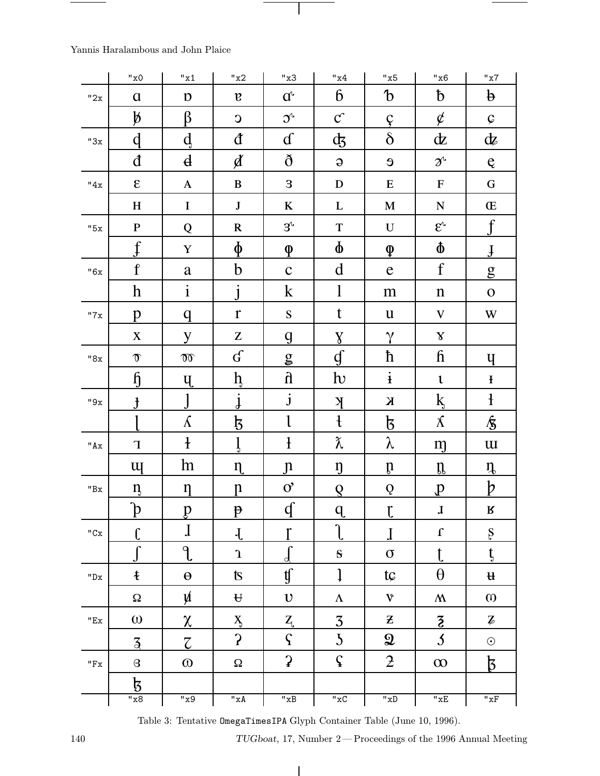|                    | "x0                      | "x1                       | "x2"                                  | "x3                                                                                                              | "x4"                                     | "x5               | "x6                                                                       | "x7                        |
|--------------------|--------------------------|---------------------------|---------------------------------------|------------------------------------------------------------------------------------------------------------------|------------------------------------------|-------------------|---------------------------------------------------------------------------|----------------------------|
| "2x                | $\alpha$                 | $\mathbf D$               | $\mathbf{g}$                          | $\mathfrak{a}^{\mathfrak{b}}$                                                                                    | 6                                        | $\mathbf b$       | $\mathfrak b$                                                             | $\mathbf b$                |
|                    | þ                        | $\beta$                   | $\mathbf C$                           | $\mathfrak{I}^{\mathfrak{t}}$                                                                                    | $\boldsymbol{C}$                         | Ç                 | $\cancel{c}$                                                              | $\boldsymbol{\mathcal{G}}$ |
| "3x                | d                        | $\underline{d}$           | đ                                     | $\mathfrak{a}$                                                                                                   | d3                                       | $\delta$          | dz                                                                        | dz                         |
|                    | đ                        | $\mathbf d$               | $\boldsymbol{d}$                      | $\eth$                                                                                                           | $\Theta$                                 | $\mathbf{\Theta}$ | $\mathcal{D}^{\cdot}$                                                     | ę                          |
| "4x                | $\boldsymbol{\epsilon}$  | $\mathbf A$               | $\, {\bf B}$                          | $\mathbf{3}$                                                                                                     | $\mathbf D$                              | ${\bf E}$         | $\mathbf F$                                                               | G                          |
|                    | H                        | $\mathbf I$               | $\mathbf J$                           | $\bf K$                                                                                                          | L                                        | M                 | ${\bf N}$                                                                 | Œ                          |
| "5x                | ${\bf P}$                | Q                         | $\bf R$                               | $3^{\circ}$                                                                                                      | $\mathbf T$                              | ${\bf U}$         | $\mathbf{E}^{\mathbf{G}}$                                                 | $\mathbf{f}$               |
|                    | $\mathbf{f}$             | Y                         | $\Phi$                                | $\phi$                                                                                                           | $\phi$                                   | φ                 | $\phi$                                                                    | $\mathbf{J}$               |
| "6x                | $\mathbf f$              | $\mathbf{a}$              | $\mathbf b$                           | $\mathbf C$                                                                                                      | d                                        | e                 | $\mathbf f$                                                               | $\underline{g}$            |
|                    | $\boldsymbol{h}$         | $\mathbf{i}$              | $\dot{\mathbf{j}}$                    | $\mathbf{k}$                                                                                                     | $\mathbf{l}$                             | m                 | $\mathbf n$                                                               | $\mathbf 0$                |
| "7x                | p                        | q                         | $\mathbf r$                           | ${\bf S}$                                                                                                        | t                                        | $\mathbf u$       | $\bf V$                                                                   | W                          |
|                    | $\mathbf X$              | y                         | Z                                     | $\mathbf g$                                                                                                      | $\mathbf{Y}$                             | $\gamma$          | $\mathbf{Y}$                                                              |                            |
| "8x                | $\boldsymbol{\vartheta}$ | $\omega$                  | $\mathbf{f}$                          | $\mathbf{g}$                                                                                                     | $\mathfrak{g}$                           | ħ                 | $\mathbf{h}$                                                              | y                          |
|                    | $\mathfrak h$            | Ų                         | $\underline{h}$                       | $\mathfrak{h}% _{T}=\mathfrak{h}_{T}\!\left( a,b\right) ,\mathfrak{h}_{T}=\mathfrak{h}_{T}\!\left( a,b\right) ,$ | $\mathbf{b}$                             | $\mathbf{i}$      | $\iota$                                                                   | $\mathbf{H}$               |
| $"9x$              | $\mathbf{f}$             | 1                         | $\dot{j}$                             | $\mathbf{j}$                                                                                                     | $\mathbf{N}$                             | $\mathbf K$       | $\mathrm{k}$                                                              | $\mathbf{1}$               |
|                    |                          | $\Lambda$                 | $\boldsymbol{\mathfrak{h}}$           | $\mathfrak l$                                                                                                    | $\mathfrak{t}$                           | $\beta$           | $\chi$                                                                    | $\frac{1}{2}$              |
| $"Ax"$             | $\mathbf T$              | $\mathbf{f}$              | ļ                                     | $\mathbf{1}$                                                                                                     | λ                                        | $\lambda$         | m                                                                         | $\mathbf{u}$               |
|                    | $\mathbf{u}$             | $\ln$                     | $\eta$                                | $\mathfrak p$                                                                                                    | ŋ                                        | $\mathfrak{p}$    | $\mathfrak{g}$                                                            | $\eta$                     |
| $^{\sf H}{\rm Bx}$ | ŋ                        | $\eta$                    | n                                     | O <sup>2</sup>                                                                                                   | $\overline{Q}$                           | Q                 | $\mathbf{p}$                                                              | þ                          |
|                    | $\mathbf{\hat{p}}$       | $\overline{\mathbf{b}}$   | $\mathbf{p}$                          | $\int$                                                                                                           | q                                        | r                 | $\mathbf{J}% _{0}=\mathbf{J}_{\mathrm{CL}}\times\mathbf{M}_{\mathrm{CL}}$ | ${\bf R}$                  |
| $"{\rm Cx}$        |                          | $\mathbf I$               | $\mathfrak l$                         |                                                                                                                  |                                          |                   | $\pmb{\Gamma}$                                                            | Ş                          |
|                    |                          | $\overline{\mathfrak{c}}$ | $\mathbf{I}$                          | d                                                                                                                | ${\bf S}$                                | $\sigma$          | t                                                                         | $\mathfrak{t}$             |
| "Dx                | ŧ                        | $\Theta$                  | ts                                    | tf                                                                                                               | ļ                                        | tç                | $\theta$                                                                  | $\mathbf H$                |
|                    | $\Omega$                 | ø                         | $\mathbf H$                           | $\upsilon$                                                                                                       | $\Lambda$                                | $\mathbf{v}$      | $\Lambda\!\Lambda$                                                        | $\omega$                   |
| $"Ex$              | $\omega$                 | $\chi$                    | $\mathbf{X}_{\!\scriptscriptstyle 0}$ | $Z_{\!\scriptscriptstyle L}$                                                                                     | 3                                        | $\boldsymbol{z}$  | $\overline{\mathbf{3}}$                                                   | $\boldsymbol{Z}$           |
|                    | $\overline{3}$           | $\zeta$                   | $\mathbf{c}$                          | $\varsigma$                                                                                                      | $\overline{5}$                           | $\mathbf Q$       | $\mathfrak{S}$                                                            | $\odot$                    |
| "Fx                | $\mbox{\bf 3}$           | $\omega$                  | $\Omega$                              | $\mathbf{C}$                                                                                                     | $\varsigma$                              | $\mathfrak{Z}$    | $\infty$                                                                  | $\overline{\mathfrak{b}}$  |
|                    | ķ                        |                           |                                       |                                                                                                                  |                                          |                   |                                                                           |                            |
|                    | "x8                      | $\overline{9x}$           | Ax''                                  | "xB                                                                                                              | $\overline{\text{H}_{\text{X}}\text{C}}$ | $"xD$             | "xE                                                                       | "xF                        |

 $\overline{\phantom{a}}$ 

 $\top$ 

Table 3: Tentative OmegaTimesIPA Glyph Container Table (June 10, 1996).

 $\overline{\phantom{a}}$ 

 $TUGboat,$  17, Number 2—Proceedings of the 1996 Annual Meeting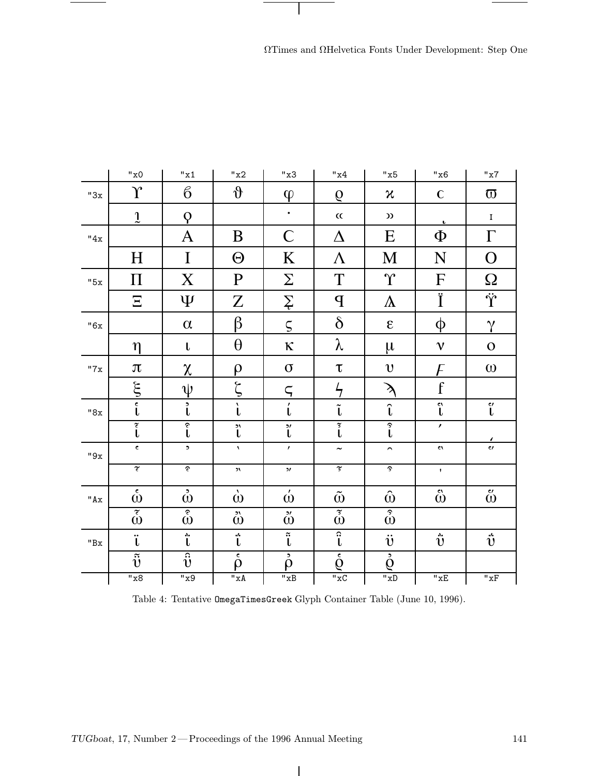$\Omega \text{Times}$  and  $\Omega \text{Helvetica}$  Fonts Under Development: Step One

|        | "x0                           | "x1                                 | "x2"                        | "x3                                          | "x4"                                     | "x5                       | "x6                 | "x7                               |
|--------|-------------------------------|-------------------------------------|-----------------------------|----------------------------------------------|------------------------------------------|---------------------------|---------------------|-----------------------------------|
| "3x    | $\Upsilon$                    | $6\overline{6}$                     | $\vartheta$                 | $\varphi$                                    | Q                                        | $\boldsymbol{\varkappa}$  | $\mathbf C$         | $\boldsymbol{\overline{\omega}}$  |
|        | $\mathfrak{1}$                | $\overline{Q}$                      |                             | $\bullet$                                    | $\alpha$                                 | $\mathfrak{D}$            |                     | $\mathbf I$                       |
| "4x    |                               | A                                   | B                           | $\mathsf{C}$                                 | Δ                                        | E                         | Ф                   | $\Gamma$                          |
|        | H                             | I                                   | $\Theta$                    | K                                            | $\Lambda$                                | M                         | $\mathbf N$         | O                                 |
| "5x    | $\prod$                       | X                                   | $\mathbf{P}$                | Σ                                            | T                                        | $\Upsilon$                | $\boldsymbol{F}$    | Ω                                 |
|        | $\Xi$                         | Ψ                                   | $Z_{\rm}$                   | $\Sigma$                                     | $\mathbf{q}$                             | $\Lambda$                 | Ï                   | $\ddot{\Upsilon}$                 |
| "6x    |                               | $\alpha$                            | $\beta$                     | $\varsigma$                                  | $\delta$                                 | $\mathbf{g}$              | φ                   | $\gamma$                          |
|        | $\eta$                        | $\mathbf{L}$                        | $\theta$                    | $\kappa$                                     | $\lambda$                                | $\mu$                     | $\mathbf{V}$        | $\overline{O}$                    |
| "7x    | $\pi$                         | $\chi$                              | $\rho$                      | $\sigma$                                     | $\tau$                                   | $\upsilon$                | F                   | $\omega$                          |
|        | $\boldsymbol{\xi}$            | $\psi$                              | $\boldsymbol{\zeta}$        | ς                                            | $\frac{1}{7}$                            | $\lambda$                 | $\mathbf f$         |                                   |
| "8x    | $\mathsf{c}$<br>$\mathbf{L}$  | $\mathbf{i}$                        | $\mathbf v$<br>$\mathbf{L}$ | ί                                            | $\tilde{\textbf{t}}$                     | $\hat{\textbf{t}}$        | $\mathbf{C}$        | $\epsilon$<br>$\ddot{\mathbf{L}}$ |
|        | $\overline{\tilde{\epsilon}}$ | $\overline{\hat{\epsilon}}$         | $\mathbf{\mathring{l}}$     | ľ                                            | $\tilde{\tilde{l}}$                      | $\overline{\hat{\bm{l}}}$ | $\pmb{r}$           | $\epsilon$                        |
| $"9x$  | $\mathbf c$                   | $\bullet$                           | $\sqrt{2}$                  | $\pmb{r}$                                    | $\tilde{\phantom{a}}$                    | $\sim$                    | $\mathbf{c}$        | $\epsilon$                        |
|        | $\widetilde{\epsilon}$        | $\epsilon$                          | $\lambda$                   | $\mathcal{H}$                                | $\mathbf{r}$                             | $\mathfrak{S}$            | $\pmb{\mathsf{I}}$  |                                   |
| $"Ax"$ | $\overset{\epsilon}{\omega}$  | $\dot{\omega}$                      | $\dot{\omega}$              | $\acute{\omega}$                             | $\tilde{\omega}$                         | $\hat{\omega}$            | $\mathring{\omega}$ | $\ddot{\omega}$                   |
|        | $\overline{\tilde{\omega}}$   | $\overline{\hat{S}}$                | $\ddot{\hat{\omega}}$       | $\ddot{\omega}$                              | $\overline{0}$                           | $\overline{\hat{\omega}}$ |                     |                                   |
| "Bx    | <br>$\mathbf{L}$              | $\mathbf{\hat{L}}$                  | $\mathfrak{i}$              | $\tilde{\mathfrak{i}}$                       | $\overline{\mathfrak{i}}$                | $\ddot{\upsilon}$         | $\ddot{\textbf{U}}$ | $\ddot{\textbf{U}}$               |
|        | $\overline{\ddot{\upsilon}}$  | $\mathbf{c}$<br>$\ddot{\mathbf{U}}$ | $\epsilon$<br>$\Omega$      | $\mathbf{\mathsf{c}}$<br>$\boldsymbol{\rho}$ | $\overline{\overset{\epsilon}{\varrho}}$ | $\dot{Q}$                 |                     |                                   |
|        | $\overline{\text{Bx}}$        | "x9                                 | $\mathbb{R}^n$              | "xB                                          | "xC                                      | "xD                       | "xE                 | "xF                               |

 $\mathsf{l}$ 

Table 4: Tentative OmegaTimesGreek Glyph Container Table (June 10, 1996).

 $\mathbf{I}$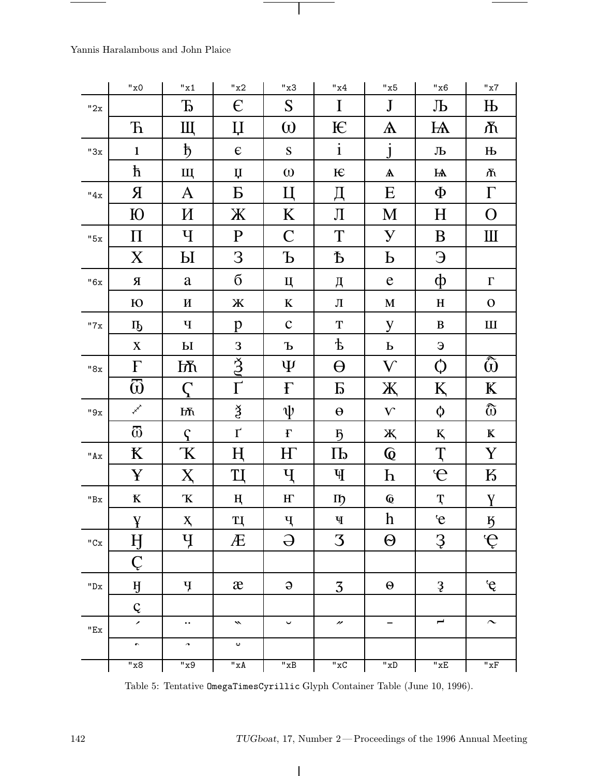$\overline{\phantom{a}}$ 

|                      | "x0                      | "x1                                        | "x2"                  | "x3"                  | "x4                      | "x5                     | "x6                      | "x7                       |
|----------------------|--------------------------|--------------------------------------------|-----------------------|-----------------------|--------------------------|-------------------------|--------------------------|---------------------------|
| "2x                  |                          | Ъ                                          | $\epsilon$            | S                     | I                        | $\bf J$                 | Љ                        | Њ                         |
|                      | $\mathbf F$              | Щ                                          | Ц                     | $\omega$              | Ѥ                        | ${\bf A}$               | $H\!A$                   | y                         |
| "3x                  | $\mathbf{1}$             | $\mathfrak h$                              | $\epsilon$            | ${\bf S}$             | $\mathbf{i}$             | j                       | Љ                        | $\mathbf{H}$              |
|                      | $\hbar$                  | Щ                                          | $\mathbf \mu$         | $\omega$              | ${\bf E}$                | $\mathbf{A}$            | $H\!A$                   | ሕ                         |
| "4x                  | Я                        | A                                          | Б                     | Ц                     | Д                        | Ε                       | Ф                        | $\Gamma$                  |
|                      | Ю                        | И                                          | Ж                     | K                     | Л                        | M                       | $H_{\rm}$                | O                         |
| "5x                  | $\Pi$                    | Ч                                          | $\mathbf P$           | $\mathsf{C}$          | T                        | У                       | B                        | Ш                         |
|                      | X                        | $\mathbf{P}$                               | $\mathcal{S}$         | Ъ                     | Ъ                        | Ь                       | Э                        |                           |
| "6x                  | Я                        | a                                          | $\sigma$              | Ц                     | Д                        | $\mathbf e$             | ф                        | $\Gamma$                  |
|                      | Ю                        | И                                          | Ж                     | $\bf K$               | Л                        | M                       | $\mathbf H$              | $\mathbf O$               |
| "7x                  | ҧ                        | Ч                                          | p                     | $\mathbf C$           | T                        | y                       | $\, {\bf B}$             | $\mathbf{III}$            |
|                      | $\mathbf X$              | $\mathbf{P}$                               | $\mathbf{3}$          | Ъ                     | $\mathbf t$              | $\mathbf P$             | Э                        |                           |
| "8x                  | F                        | Ѭ                                          | $\check{3}$           | Ψ                     | θ                        | ${\rm V}$               | Q                        | $\overline{\hat{\omega}}$ |
|                      | $\overline{\omega}$      |                                            | $\Gamma$              | $\Gamma$              | $\bf{D}$                 | Ж                       | K                        | K                         |
| "9x                  | $x^{\star}$              | ЫĄ                                         | $\check{3}$           | ψ                     | $\Theta$                 | $\mathbf{V}$            | $\boldsymbol{\varphi}$   | $\mathbb{\hat{w}}$        |
|                      | $\overline{\omega}$      | $\varsigma$                                | $\Gamma$              | $\boldsymbol{\Gamma}$ | $\mathfrak{h}$           | Ж                       | $K_{\rm}$                | K                         |
| $"Ax"$               | K                        | ${\bf K}$                                  | H                     | $H^{\circ}$           | $\Pi$                    | $\overline{\mathbf{Q}}$ | Ţ                        | Y                         |
|                      | ¥                        | X                                          | TI                    | Ч                     | $\Psi$                   | $\mathbf h$             | $\overline{e}$           | $\boldsymbol{\mathrm{K}}$ |
| $^{\sf{H}}\text{Bx}$ | $\bf K$                  | $\mathbf K$                                | ң                     | $\mathbf H$           | $\mathbf{I}$             | $\overline{\mathbf{Q}}$ | Ţ                        | Y                         |
|                      | $\mathbf{Y}$             | $\mathbf{X}% _{1}\left( \mathbf{Y}\right)$ | ТĮ                    | Ч                     | $\Psi$                   | $\boldsymbol{h}$        | $\mathbf{\hat{e}}$       | $\mathfrak{H}$            |
| $"{\rm Cx}$          | H                        | Ч                                          | Æ                     | $\Theta$              | 3                        | Θ                       | З                        | Ę                         |
|                      | Ç                        |                                            |                       |                       |                          |                         |                          |                           |
| "Dx                  | IJ                       | Ч                                          | æ                     | $\Theta$              | 3                        | $\Theta$                | 3                        | $\mathcal{G}$             |
|                      | Ç                        |                                            |                       |                       |                          |                         |                          |                           |
| "Ex                  | $\overline{\phantom{0}}$ | $\ddot{\phantom{0}}$                       | $\tilde{\phantom{a}}$ | $\check{ }$           | $\overline{\phantom{a}}$ | -                       | $\overline{\phantom{0}}$ | $\sim$                    |
|                      | $\bullet$                | $\hat{\phantom{a}}$                        | $\mathbf{\ddot{o}}$   |                       |                          |                         |                          |                           |
|                      | "x8                      | $\overline{\mathbf{u}}_x$ 9                | $^{\sf II}$ x A       | $"xB$                 | $"xC$                    | $^{\sf II}$ xD          | $"xE$                    | "xF                       |

 $\overline{\phantom{a}}$ 

 $\top$ 

Table 5: Tentative OmegaTimesCyrillic Glyph Container Table (June 10, 1996).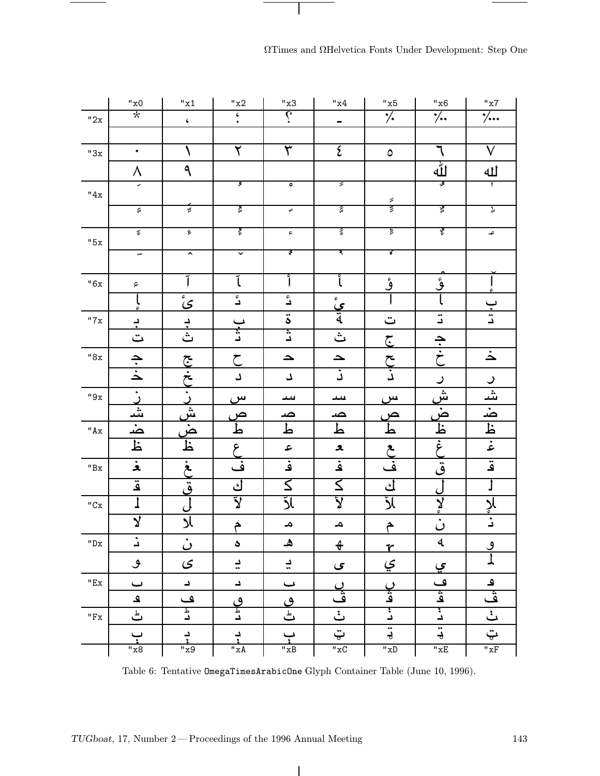|                    | "x0                      | "x1                                         | "x2"                                  | "x3                     | "x4"             | "x5                     | "x6                           | "x7                                   |
|--------------------|--------------------------|---------------------------------------------|---------------------------------------|-------------------------|------------------|-------------------------|-------------------------------|---------------------------------------|
| "2x                | $\overline{\ast}$        | $\pmb{\zeta}$                               | $\boldsymbol{\varsigma}$<br>$\bullet$ | $\dot{\mathcal{L}}$     | -                | *∕∙                     | *∕.∙                          | $\frac{1}{2}$                         |
|                    |                          |                                             |                                       |                         |                  |                         |                               |                                       |
| "3x                | $\blacklozenge$          | ١                                           | ۲                                     | ٣                       | ٤                | $\pmb{\circ}$           | ٦                             | ٧                                     |
|                    | ٨                        | ٩                                           |                                       |                         |                  |                         | ڵڵؙؙ                          | गा                                    |
| "4x                |                          |                                             | ℱ                                     | ۰                       | ₽                |                         | ℱ                             | $\mathbf{I}$                          |
|                    | انگ                      | یں                                          | ر<br>ش                                | $\mathsf{u}$            | á                | ء<br>ष्ट्र              | ಜೆ                            | J,                                    |
|                    |                          |                                             |                                       |                         |                  |                         |                               |                                       |
| "5x                | $\tilde{\epsilon}$       | ۶                                           | عج                                    | $\epsilon$              | É                | ક્ર                     | 窄                             | عہ                                    |
|                    | $\overline{\phantom{0}}$ | $\hat{\phantom{a}}$                         | $\checkmark$                          | ş                       | হ                | ४                       |                               |                                       |
|                    |                          |                                             |                                       |                         |                  |                         |                               |                                       |
| "6x                | ۶                        | Ĩ                                           | ĩ                                     | أ                       | م<br>أ           | قُ                      | <u>ڨ</u>                      |                                       |
|                    | ¢                        | $\tilde{\boldsymbol{\mathcal{E}}}$          | دُ                                    | دُ                      | ا<br>تعاقی       |                         | ι                             |                                       |
| "7x                | د                        | $\div$                                      | $\overline{\phantom{0}}$              | $\ddot{\bm{\delta}}$    |                  | ت                       | ت                             | $\frac{1}{i}$                         |
|                    | ت                        | ٽ                                           | خ<br>ن                                | ا با<br>ما              | ث                | ج                       |                               |                                       |
| $"8x$              | $\div$                   | جح                                          | ح                                     | $\rightarrow$           | $\rightarrow$    |                         | $\frac{1}{\dot{\mathcal{C}}}$ | خ                                     |
|                    | $\mathbf{L}$             | $\dot{\tilde{c}}$                           | ل                                     | $\Delta$                | ذ                | مجمع<br>ذ               | ر                             | $\overline{\phantom{0}}$              |
| $"9x$              | ڒ                        |                                             | س                                     | ىب                      | سد               | س                       | شَ                            | شا                                    |
|                    | ش                        | ئے<br>شِ                                    | ص                                     | صد                      | صد               | <u>ص</u>                | <u>ض</u>                      | ض                                     |
| $"Ax"$             | ض                        | <u>ض</u>                                    | $\overline{\mathbf{r}}$               | 上                       | 上                | $\overline{\mathbf{r}}$ | 上                             | 上                                     |
|                    | 上                        | $\overline{\mathbf{r}}$                     | ع                                     | ع                       | $\blacktriangle$ | مح                      | غ                             | غ                                     |
| $^{\sf H}{\rm Bx}$ | $\mathbf{\dot{z}}$       | $\overline{\dot{\boldsymbol{\mathcal{E}}}}$ | ف                                     | ف                       | ۿ                | ف                       | ق                             | أها                                   |
|                    | $\ddot{\bf a}$           | <u>ق</u>                                    | ك                                     | $\overline{\mathsf{S}}$ | $\leq$           | ائ                      |                               | $\begin{array}{c} \hline \end{array}$ |
| $"Cx$              | $\overline{1}$           |                                             | ั่ง                                   | آلا                     | ั้ง              | لأ                      |                               |                                       |
|                    | $\overline{\mathbf{Y}}$  | k                                           |                                       | م                       | $\blacktriangle$ |                         | لاءِ<br>ن                     | للإ<br>أ                              |
|                    |                          |                                             | $\hat{\tau}$                          |                         |                  | $\hat{\tau}$            |                               |                                       |
| "Dx                | ذ                        | $\dot{\bm{\omega}}$                         | ٥                                     | ه                       | $\frac{4}{3}$    | r                       | $\mathbf 4$                   | $\frac{9}{1}$                         |
|                    | ٯ                        | $\varsigma$                                 | $\frac{1}{x}$                         | $\div$                  | ى                | <u>ي</u>                | <u>ي</u>                      |                                       |
| "Ex                | ب                        | د                                           | د                                     | ے                       |                  |                         | <u>م)</u><br>قا               | ى                                     |
|                    | $\Delta$                 | ڡ                                           |                                       | <u>ه</u>                | <u>ب</u><br>ف    | <u>ب</u><br>ق           |                               | ثَت                                   |
| $"Fx$              | کے                       | لماء<br>ا                                   | <u>م ا</u><br>د                       | کے                      | ٺ                | :<br>د                  | $\ddot{\cdot}$                | ٺ                                     |
|                    | ٻ                        | ڊ                                           | $\frac{1}{1}$                         | $\ddot{\mathbf{u}}$     | $\ddot{\varphi}$ | $\ddot{\vec{d}}$        | $\ddot{\vec{t}}$              | $\ddot{\mathbf{v}}$                   |
|                    | $x^{\prime}$             | "x9                                         | Ax''                                  | "xB                     | $"xC$            | $^{\sf II}$ xD          | "xE                           | $\overline{\text{w}}$                 |

 $\Omega \text{Times}$  and  $\Omega \text{Helvetica}$  Fonts Under Development: Step One

Table 6: Tentative OmegaTimesArabicOne Glyph Container Table (June 10, 1996).

 $\overline{1}$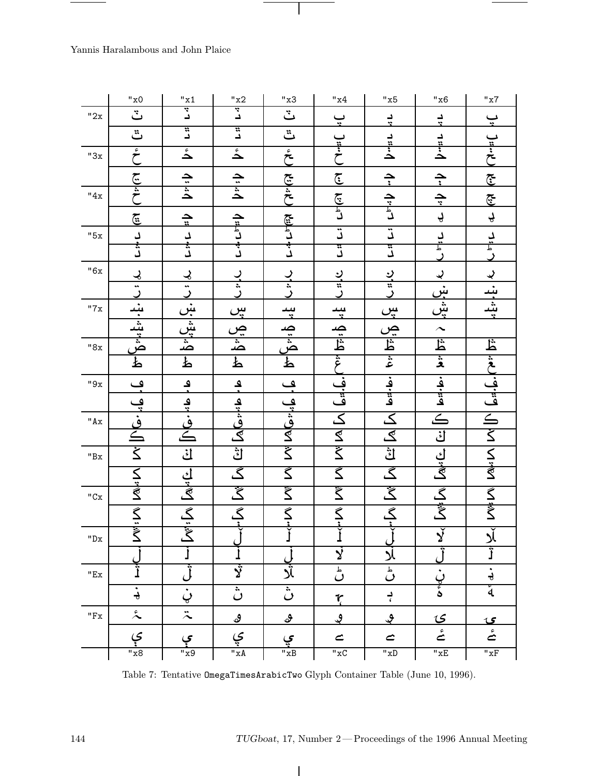$\sim$ 

|       | "x0                                                                                                                                                                                                                              | "x1                                                                                          | "x2                               | "x3                                                                                                                  | $"x4"$                                                        | "x5                                             | "x6                                                                                                  | "x7                                                                                                                 |
|-------|----------------------------------------------------------------------------------------------------------------------------------------------------------------------------------------------------------------------------------|----------------------------------------------------------------------------------------------|-----------------------------------|----------------------------------------------------------------------------------------------------------------------|---------------------------------------------------------------|-------------------------------------------------|------------------------------------------------------------------------------------------------------|---------------------------------------------------------------------------------------------------------------------|
| "2x   | $\ddot{\mathbf{c}}$                                                                                                                                                                                                              | $\frac{1}{2}$                                                                                | $\mathbf{L}^*$                    | $\ddot{c}$                                                                                                           | $\frac{1}{x}$                                                 |                                                 |                                                                                                      |                                                                                                                     |
|       | $\overline{\mathbf{c}}$                                                                                                                                                                                                          | $\frac{1}{n}$                                                                                | $\frac{1}{2}$                     | $\frac{1}{\sqrt{2}}$                                                                                                 |                                                               | $\frac{1}{2}$                                   |                                                                                                      |                                                                                                                     |
| "3x   | شيخ التي المجموع التي المجموع التي تعليم المجموع التي تعليم المجموع المجموع المجموع المجموع المجموع المجموع ال<br>المجموع المجموع المجموع المجموع المجموع المجموع المجموع المجموع المجموع المجموع المجموع المجموع المجموع المجمو | $\mathbf{\hat{b}}$                                                                           | $\mathbf{r}$                      | وق المتصابي المحتاج المنتصب                                                                                          | $\frac{1}{\sqrt{2}}$                                          |                                                 | $147$ 14-18 14-19 14-19 14-12                                                                        | م الم الله عنها الله الله الله عنه الله عنه الله عنه الله عنه الله عنه الله عنه الله عنه الله عنه ال                |
|       |                                                                                                                                                                                                                                  | $\frac{1}{2}$                                                                                | $\frac{1}{2}$                     |                                                                                                                      | <u>تی</u>                                                     |                                                 |                                                                                                      |                                                                                                                     |
| "4x   |                                                                                                                                                                                                                                  |                                                                                              |                                   |                                                                                                                      | انجة <mark>ا</mark> لتاسيم                                    | $1 - 1 = 1 - 1 = 1 - 1 = 1$                     |                                                                                                      |                                                                                                                     |
|       |                                                                                                                                                                                                                                  | $\frac{2}{n}$                                                                                | $4$ $4^{14}$ $4^{14}$ $4$         |                                                                                                                      |                                                               |                                                 |                                                                                                      |                                                                                                                     |
| "5x   | القابل الفقا                                                                                                                                                                                                                     | $\begin{array}{c} \begin{array}{c} \text{1} \\ \text{2} \\ \text{1} \end{array} \end{array}$ |                                   |                                                                                                                      | ت                                                             |                                                 |                                                                                                      |                                                                                                                     |
|       |                                                                                                                                                                                                                                  |                                                                                              |                                   |                                                                                                                      | ټن<br>ف                                                       |                                                 |                                                                                                      |                                                                                                                     |
| "6x   | $\sim$ $\sim$ $\sim$ $\sim$ $\sim$ $\sim$ $\sim$ $\sim$                                                                                                                                                                          |                                                                                              |                                   |                                                                                                                      | $rac{1}{\sqrt{1}}$                                            |                                                 |                                                                                                      | ا خاطئة ا                                                                                                           |
|       |                                                                                                                                                                                                                                  |                                                                                              |                                   |                                                                                                                      |                                                               |                                                 |                                                                                                      |                                                                                                                     |
| "7x   |                                                                                                                                                                                                                                  | سا أنا إنا إنا أنا المعا                                                                     |                                   |                                                                                                                      | ىب                                                            | $2.142$ 3. 9. $\frac{3}{2}$ 3. 9. $\frac{3}{2}$ |                                                                                                      |                                                                                                                     |
|       |                                                                                                                                                                                                                                  |                                                                                              |                                   |                                                                                                                      |                                                               |                                                 |                                                                                                      |                                                                                                                     |
| $"8x$ |                                                                                                                                                                                                                                  |                                                                                              |                                   |                                                                                                                      |                                                               |                                                 |                                                                                                      |                                                                                                                     |
|       |                                                                                                                                                                                                                                  |                                                                                              |                                   |                                                                                                                      |                                                               |                                                 |                                                                                                      |                                                                                                                     |
| $"9x$ |                                                                                                                                                                                                                                  | <u>ي</u>                                                                                     |                                   | $2^{4.2}$ 3 <sup>2</sup> 9 <sup>2</sup> 9 <sup>2</sup> 9 <sup>2</sup> 9 <sup>3</sup> 9 <sup>32</sup> 94 <sup>2</sup> | $d_1$ $\frac{1}{2}$ $\frac{1}{2}$ $\frac{1}{2}$ $\frac{1}{2}$ | إحداثها لكما إنتنا لكما                         | لكلها لكلها فت إنتاج المساء المعالج المعالم بالمعالمين ألمنا بالمعالج المحالية المحاكمة المعالج المح | للأملاء المعالم المستقرين المستقرح المستقرح المستقرح المستقرح المستقرح المستقرح المستقرح المستقرح المستقرح المستقرح |
|       |                                                                                                                                                                                                                                  |                                                                                              |                                   |                                                                                                                      |                                                               |                                                 |                                                                                                      |                                                                                                                     |
| "Ax"  |                                                                                                                                                                                                                                  | .<br>فه: من ا                                                                                |                                   |                                                                                                                      | $\frac{\mathcal{S}}{\mathcal{S}}$                             |                                                 |                                                                                                      |                                                                                                                     |
|       |                                                                                                                                                                                                                                  |                                                                                              |                                   |                                                                                                                      |                                                               |                                                 |                                                                                                      |                                                                                                                     |
| "Bx   |                                                                                                                                                                                                                                  |                                                                                              | ما ما استقامها انت اما            |                                                                                                                      |                                                               |                                                 |                                                                                                      |                                                                                                                     |
|       |                                                                                                                                                                                                                                  |                                                                                              |                                   | $\overline{\mathsf{S}}$                                                                                              | $\overline{\mathsf{K}}$                                       |                                                 |                                                                                                      |                                                                                                                     |
| "Cx   |                                                                                                                                                                                                                                  |                                                                                              |                                   |                                                                                                                      |                                                               |                                                 |                                                                                                      |                                                                                                                     |
|       | ما ما اسم الما المال من المالي الما                                                                                                                                                                                              | اننا احتا المعالج التجا                                                                      | $\frac{\mathcal{Z}}{\mathcal{Z}}$ | $\frac{1}{\sqrt{2\pi}}$                                                                                              | $\frac{1}{\sqrt{2}}$                                          | $\frac{\mathcal{Z}}{\mathcal{Z}}$               |                                                                                                      |                                                                                                                     |
| "Dx   |                                                                                                                                                                                                                                  | گ                                                                                            |                                   |                                                                                                                      |                                                               |                                                 | ୪                                                                                                    | لا                                                                                                                  |
|       |                                                                                                                                                                                                                                  |                                                                                              |                                   |                                                                                                                      | Y                                                             | لا                                              |                                                                                                      |                                                                                                                     |
| $"Ex$ | ֓׆֧֓֞֓ <del>֖֖֖֖֖֪֓</del> ֟                                                                                                                                                                                                      |                                                                                              | Ϋ́                                | ٲٝڒ                                                                                                                  | ڻ                                                             | ڻ                                               |                                                                                                      | $\ddot{\vec{d}}$                                                                                                    |
|       | $\ddot{\vec{r}}$                                                                                                                                                                                                                 | ڹ                                                                                            | ڽ                                 | ڽ                                                                                                                    | ŗ                                                             | $\frac{1}{6}$                                   | ن کیاء<br>کاء                                                                                        | $\tilde{4}$                                                                                                         |
| $"Fx$ | $\tilde{\lambda}$                                                                                                                                                                                                                | $\ddot{\sim}$                                                                                | $\mathbf{e}$                      | $\clubsuit$                                                                                                          | $\mathcal{Q}$                                                 | $\hat{\mathbf{y}}$                              | <u>ى</u>                                                                                             | <u>ۍ</u>                                                                                                            |
|       | ې                                                                                                                                                                                                                                | ې                                                                                            | <u>ي</u>                          | ي                                                                                                                    | ≃                                                             | $\mathbf{\hat{c}}$                              | ځ                                                                                                    | ځ                                                                                                                   |
|       | $x^{\prime\prime}$                                                                                                                                                                                                               | "x9                                                                                          | $\overline{\phantom{a}''$ x A     | "xB                                                                                                                  | $"xC$                                                         | $^{\sf II}$ xD                                  | "xE                                                                                                  | "xF                                                                                                                 |

 $\top$ 

Table 7: Tentative OmegaTimesArabicTwo Glyph Container Table (June 10, 1996).

 $\overline{\phantom{a}}$ 

 $\overline{\phantom{a}}$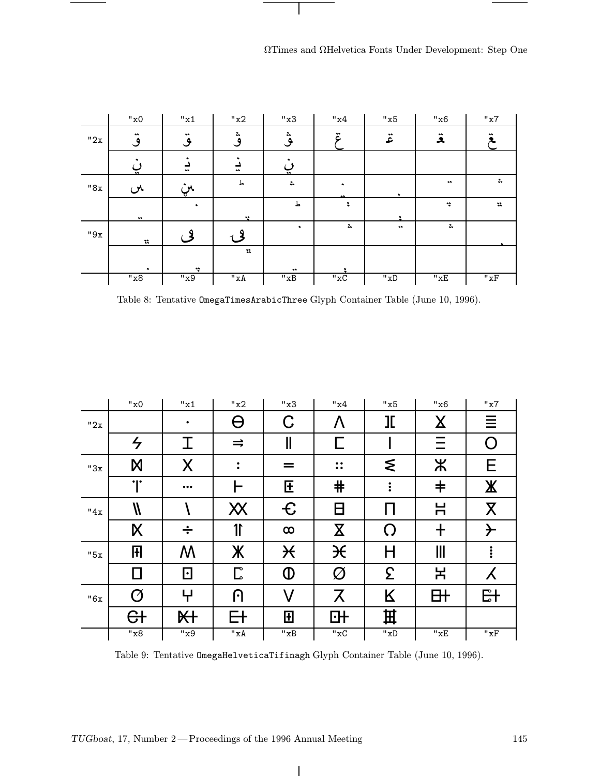ΩTimes and ΩHelvetica Fonts Under Development: Step One

|     | "x0                   | "x1                   | "x2"                        | "x3                  | "x4"                | "x5                              | "x6                 | "x7              |
|-----|-----------------------|-----------------------|-----------------------------|----------------------|---------------------|----------------------------------|---------------------|------------------|
| "2x | $\bullet\bullet$<br>ٯ | $\bullet\bullet$<br>ٯ | ÷<br>ق                      | ش<br>ف               | Ë                   | غە                               | ۃ                   |                  |
|     | $\bullet\bullet$      | ڍ                     | ٠<br>∸<br>$\bullet\bullet$  |                      |                     |                                  |                     |                  |
| "8x | $\mathcal{C}$         | ٠x.                   | 上                           | $\ddot{\phantom{a}}$ | ٠                   | ٠                                | $\bullet\bullet$    | $\ddot{\ddot{}}$ |
|     | $\bullet\bullet$      | ٠                     | ÷                           | 4                    | :                   |                                  | $\ddot{\cdot}$      | n.               |
| "9x | n.                    | ۹                     | 13                          | ٠                    | $\ddot{\textbf{v}}$ | $\bullet\bullet$                 | $\ddot{\textbf{a}}$ |                  |
|     |                       | *                     | $\boldsymbol{\mathfrak{m}}$ | $\bullet\bullet$     |                     |                                  |                     |                  |
|     | "x8                   | "x9                   | "xA                         | $"xB$                | $"xC$               | $^{\sf{II}}\mathbf{x}\mathbf{D}$ | $"xE$               | "xF              |

Table 8: Tentative OmegaTimesArabicThree Glyph Container Table (June 10, 1996).

|     | "x0           | "x1                     | "x2"           | "x3                       | "x4"           | "x5                              | "x6           | "x7                     |
|-----|---------------|-------------------------|----------------|---------------------------|----------------|----------------------------------|---------------|-------------------------|
| "2x |               | $\bullet$               | θ              | C                         | Λ              | I                                | $\mathsf{X}$  | 亖                       |
|     | $\frac{2}{7}$ | I                       | $\Rightarrow$  | $\mathbf{I}$              |                |                                  |               | $\bigcap$               |
| "3x | M             | X                       | ٠<br>$\bullet$ | =                         | $\ddot{\cdot}$ | ξ                                | Ж             | Е                       |
|     | T             | $\bullet\bullet\bullet$ |                | 圧                         | $\pmb{\ast}$   | $\vdots$                         | $\ddagger$    | Ж                       |
| "4x | W             |                         | XX             | $\epsilon$                | Β              | Ħ                                | 븜             | $\overline{\mathsf{X}}$ |
|     | K             | ÷                       | $\mathbf{1}$   | $\infty$                  | $\mathbf X$    | O                                | ╋             | ⊁                       |
| "5x | Ŧ             | W                       | Ж              | $\boldsymbol{\nparallel}$ | $\mathcal H$   | H                                | $\mathbf{  }$ |                         |
|     | $\Box$        | ⊡                       | $\mathsf L$    | $\, \Phi$                 | Ø              | $\Sigma$                         | 봄             | Χ                       |
| "6x | Ø             | Ψ                       | ဂ              | V                         | ス              | K                                | 毌             | 타                       |
|     | $\theta$      |                         | 日              | $\overline{\mathbf{H}}$   | 叶              | 耳                                |               |                         |
|     | "x8"          | "x9                     | "xA            | $"xB$                     | $"xC$          | $^{\sf{II}}\, {\tt{x}} {\tt{D}}$ | "xE           | "xF                     |

Table 9: Tentative OmegaHelveticaTifinagh Glyph Container Table (June 10, 1996).